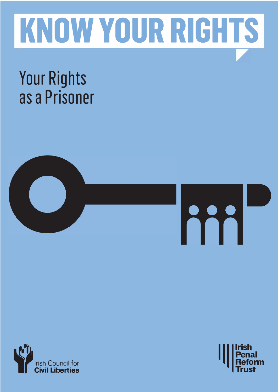

# **Your Rights as a Prisoner**





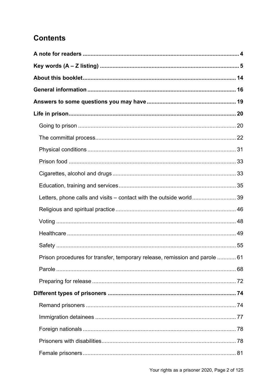## **Contents**

| Letters, phone calls and visits – contact with the outside world39          |  |
|-----------------------------------------------------------------------------|--|
|                                                                             |  |
|                                                                             |  |
|                                                                             |  |
|                                                                             |  |
| Prison procedures for transfer, temporary release, remission and parole  61 |  |
|                                                                             |  |
|                                                                             |  |
|                                                                             |  |
|                                                                             |  |
|                                                                             |  |
|                                                                             |  |
|                                                                             |  |
|                                                                             |  |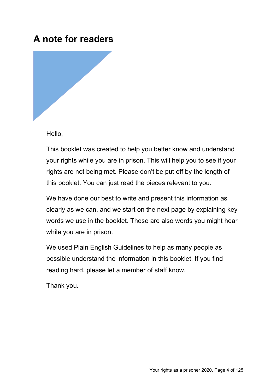## **A note for readers**



Hello,

This booklet was created to help you better know and understand your rights while you are in prison. This will help you to see if your rights are not being met. Please don't be put off by the length of this booklet. You can just read the pieces relevant to you.

We have done our best to write and present this information as clearly as we can, and we start on the next page by explaining key words we use in the booklet. These are also words you might hear while you are in prison.

We used Plain English Guidelines to help as many people as possible understand the information in this booklet. If you find reading hard, please let a member of staff know.

Thank you.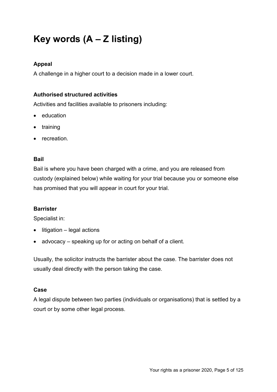## **Key words (A – Z listing)**

#### **Appeal**

A challenge in a higher court to a decision made in a lower court.

#### **Authorised structured activities**

Activities and facilities available to prisoners including:

- education
- training
- recreation.

#### **Bail**

Bail is where you have been charged with a crime, and you are released from custody (explained below) while waiting for your trial because you or someone else has promised that you will appear in court for your trial.

#### **Barrister**

Specialist in:

- litigation legal actions
- advocacy speaking up for or acting on behalf of a client.

Usually, the solicitor instructs the barrister about the case. The barrister does not usually deal directly with the person taking the case.

#### **Case**

A legal dispute between two parties (individuals or organisations) that is settled by a court or by some other legal process.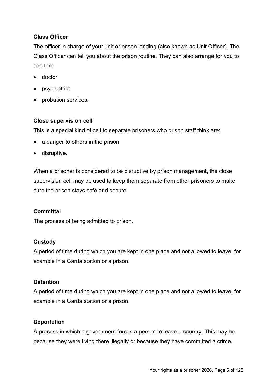#### **Class Officer**

The officer in charge of your unit or prison landing (also known as Unit Officer). The Class Officer can tell you about the prison routine. They can also arrange for you to see the:

- doctor
- psychiatrist
- probation services.

#### **Close supervision cell**

This is a special kind of cell to separate prisoners who prison staff think are:

- a danger to others in the prison
- disruptive.

When a prisoner is considered to be disruptive by prison management, the close supervision cell may be used to keep them separate from other prisoners to make sure the prison stays safe and secure.

#### **Committal**

The process of being admitted to prison.

#### **Custody**

A period of time during which you are kept in one place and not allowed to leave, for example in a Garda station or a prison.

#### **Detention**

A period of time during which you are kept in one place and not allowed to leave, for example in a Garda station or a prison.

#### **Deportation**

A process in which a government forces a person to leave a country. This may be because they were living there illegally or because they have committed a crime.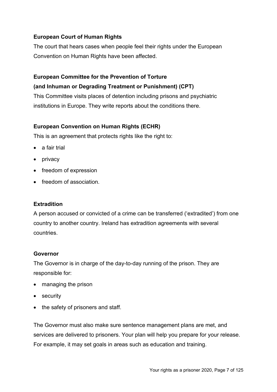#### **European Court of Human Rights**

The court that hears cases when people feel their rights under the European Convention on Human Rights have been affected.

#### **European Committee for the Prevention of Torture**

#### **(and Inhuman or Degrading Treatment or Punishment) (CPT)**

This Committee visits places of detention including prisons and psychiatric institutions in Europe. They write reports about the conditions there.

#### **European Convention on Human Rights (ECHR)**

This is an agreement that protects rights like the right to:

- a fair trial
- privacy
- freedom of expression
- freedom of association.

#### **Extradition**

A person accused or convicted of a crime can be transferred ('extradited') from one country to another country. Ireland has extradition agreements with several countries.

#### **Governor**

The Governor is in charge of the day-to-day running of the prison. They are responsible for:

- managing the prison
- security
- the safety of prisoners and staff.

The Governor must also make sure sentence management plans are met, and services are delivered to prisoners. Your plan will help you prepare for your release. For example, it may set goals in areas such as education and training.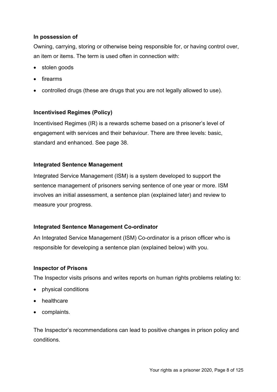#### **In possession of**

Owning, carrying, storing or otherwise being responsible for, or having control over, an item or items. The term is used often in connection with:

- stolen goods
- firearms
- controlled drugs (these are drugs that you are not legally allowed to use).

#### **Incentivised Regimes (Policy)**

Incentivised Regimes (IR) is a rewards scheme based on a prisoner's level of engagement with services and their behaviour. There are three levels: basic, standard and enhanced. See page 38.

#### **Integrated Sentence Management**

Integrated Service Management (ISM) is a system developed to support the sentence management of prisoners serving sentence of one year or more. ISM involves an initial assessment, a sentence plan (explained later) and review to measure your progress.

#### **Integrated Sentence Management Co-ordinator**

An Integrated Service Management (ISM) Co-ordinator is a prison officer who is responsible for developing a sentence plan (explained below) with you.

#### **Inspector of Prisons**

The Inspector visits prisons and writes reports on human rights problems relating to:

- physical conditions
- healthcare
- complaints.

The Inspector's recommendations can lead to positive changes in prison policy and conditions.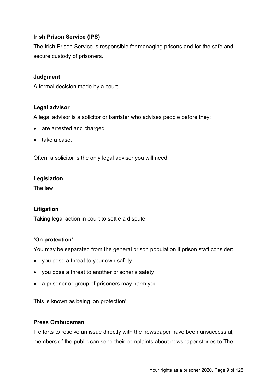#### **Irish Prison Service (IPS)**

The Irish Prison Service is responsible for managing prisons and for the safe and secure custody of prisoners.

#### **Judgment**

A formal decision made by a court.

#### **Legal advisor**

A legal advisor is a solicitor or barrister who advises people before they:

- are arrested and charged
- take a case.

Often, a solicitor is the only legal advisor you will need.

#### **Legislation**

The law.

#### **Litigation**

Taking legal action in court to settle a dispute.

#### **'On protection'**

You may be separated from the general prison population if prison staff consider:

- you pose a threat to your own safety
- you pose a threat to another prisoner's safety
- a prisoner or group of prisoners may harm you.

This is known as being 'on protection'.

#### **Press Ombudsman**

If efforts to resolve an issue directly with the newspaper have been unsuccessful, members of the public can send their complaints about newspaper stories to The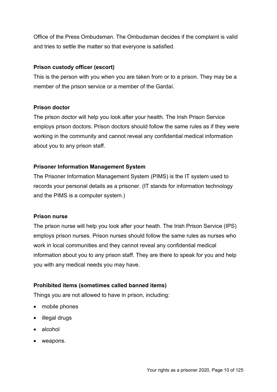Office of the Press Ombudsman. The Ombudsman decides if the complaint is valid and tries to settle the matter so that everyone is satisfied.

#### **Prison custody officer (escort)**

This is the person with you when you are taken from or to a prison. They may be a member of the prison service or a member of the Gardaí.

#### **Prison doctor**

The prison doctor will help you look after your health. The Irish Prison Service employs prison doctors. Prison doctors should follow the same rules as if they were working in the community and cannot reveal any confidential medical information about you to any prison staff.

#### **Prisoner Information Management System**

The Prisoner Information Management System (PIMS) is the IT system used to records your personal details as a prisoner. (IT stands for information technology and the PIMS is a computer system.)

#### **Prison nurse**

The prison nurse will help you look after your heath. The Irish Prison Service (IPS) employs prison nurses. Prison nurses should follow the same rules as nurses who work in local communities and they cannot reveal any confidential medical information about you to any prison staff. They are there to speak for you and help you with any medical needs you may have.

#### **Prohibited items (sometimes called banned items)**

Things you are not allowed to have in prison, including:

- mobile phones
- illegal drugs
- alcohol
- weapons.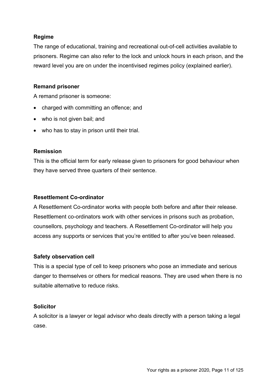#### **Regime**

The range of educational, training and recreational out-of-cell activities available to prisoners. Regime can also refer to the lock and unlock hours in each prison, and the reward level you are on under the incentivised regimes policy (explained earlier).

#### **Remand prisoner**

A remand prisoner is someone:

- charged with committing an offence; and
- who is not given bail; and
- who has to stay in prison until their trial.

#### **Remission**

This is the official term for early release given to prisoners for good behaviour when they have served three quarters of their sentence.

#### **Resettlement Co-ordinator**

A Resettlement Co-ordinator works with people both before and after their release. Resettlement co-ordinators work with other services in prisons such as probation, counsellors, psychology and teachers. A Resettlement Co-ordinator will help you access any supports or services that you're entitled to after you've been released.

#### **Safety observation cell**

This is a special type of cell to keep prisoners who pose an immediate and serious danger to themselves or others for medical reasons. They are used when there is no suitable alternative to reduce risks.

#### **Solicitor**

A solicitor is a lawyer or legal advisor who deals directly with a person taking a legal case.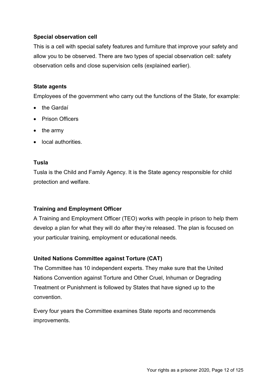#### **Special observation cell**

This is a cell with special safety features and furniture that improve your safety and allow you to be observed. There are two types of special observation cell: safety observation cells and close supervision cells (explained earlier).

#### **State agents**

Employees of the government who carry out the functions of the State, for example:

- the Gardaí
- Prison Officers
- the army
- local authorities.

#### **Tusla**

Tusla is the Child and Family Agency. It is the State agency responsible for child protection and welfare.

#### **Training and Employment Officer**

A Training and Employment Officer (TEO) works with people in prison to help them develop a plan for what they will do after they're released. The plan is focused on your particular training, employment or educational needs.

#### **United Nations Committee against Torture (CAT)**

The Committee has 10 independent experts. They make sure that the United Nations Convention against Torture and Other Cruel, Inhuman or Degrading Treatment or Punishment is followed by States that have signed up to the convention.

Every four years the Committee examines State reports and recommends improvements.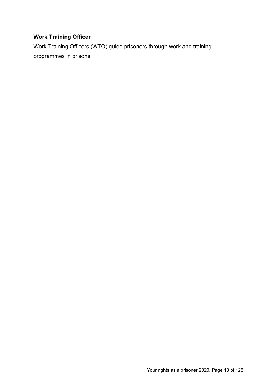## **Work Training Officer**

Work Training Officers (WTO) guide prisoners through work and training programmes in prisons.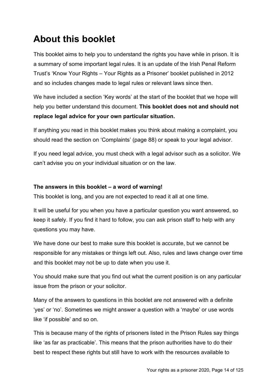## **About this booklet**

This booklet aims to help you to understand the rights you have while in prison. It is a summary of some important legal rules. It is an update of the Irish Penal Reform Trust's 'Know Your Rights – Your Rights as a Prisoner' booklet published in 2012 and so includes changes made to legal rules or relevant laws since then.

We have included a section 'Key words' at the start of the booklet that we hope will help you better understand this document. **This booklet does not and should not replace legal advice for your own particular situation.** 

If anything you read in this booklet makes you think about making a complaint, you should read the section on 'Complaints' (page 88) or speak to your legal advisor.

If you need legal advice, you must check with a legal advisor such as a solicitor. We can't advise you on your individual situation or on the law.

#### **The answers in this booklet – a word of warning!**

This booklet is long, and you are not expected to read it all at one time.

It will be useful for you when you have a particular question you want answered, so keep it safely. If you find it hard to follow, you can ask prison staff to help with any questions you may have.

We have done our best to make sure this booklet is accurate, but we cannot be responsible for any mistakes or things left out. Also, rules and laws change over time and this booklet may not be up to date when you use it.

You should make sure that you find out what the current position is on any particular issue from the prison or your solicitor.

Many of the answers to questions in this booklet are not answered with a definite 'yes' or 'no'. Sometimes we might answer a question with a 'maybe' or use words like 'if possible' and so on.

This is because many of the rights of prisoners listed in the Prison Rules say things like 'as far as practicable'. This means that the prison authorities have to do their best to respect these rights but still have to work with the resources available to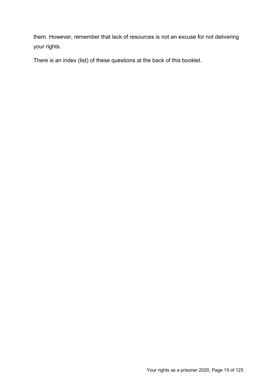them. However, remember that lack of resources is not an excuse for not delivering your rights.

There is an index (list) of these questions at the back of this booklet.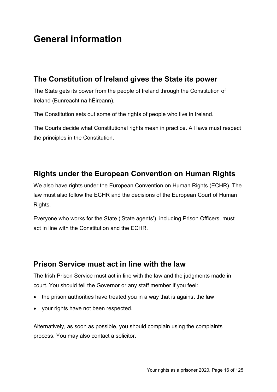## **General information**

## **The Constitution of Ireland gives the State its power**

The State gets its power from the people of Ireland through the Constitution of Ireland (Bunreacht na hÉireann).

The Constitution sets out some of the rights of people who live in Ireland.

The Courts decide what Constitutional rights mean in practice. All laws must respect the principles in the Constitution.

## **Rights under the European Convention on Human Rights**

We also have rights under the European Convention on Human Rights (ECHR). The law must also follow the ECHR and the decisions of the European Court of Human Rights.

Everyone who works for the State ('State agents'), including Prison Officers, must act in line with the Constitution and the ECHR.

## **Prison Service must act in line with the law**

The Irish Prison Service must act in line with the law and the judgments made in court. You should tell the Governor or any staff member if you feel:

- the prison authorities have treated you in a way that is against the law
- your rights have not been respected.

Alternatively, as soon as possible, you should complain using the complaints process. You may also contact a solicitor.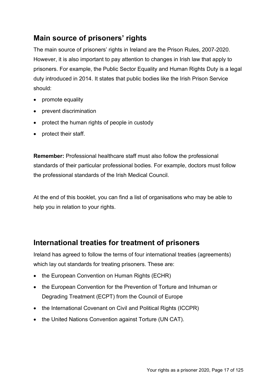## **Main source of prisoners' rights**

The main source of prisoners' rights in Ireland are the Prison Rules, 2007-2020. However, it is also important to pay attention to changes in Irish law that apply to prisoners. For example, the Public Sector Equality and Human Rights Duty is a legal duty introduced in 2014. It states that public bodies like the Irish Prison Service should:

- promote equality
- prevent discrimination
- protect the human rights of people in custody
- protect their staff.

**Remember:** Professional healthcare staff must also follow the professional standards of their particular professional bodies. For example, doctors must follow the professional standards of the Irish Medical Council.

At the end of this booklet, you can find a list of organisations who may be able to help you in relation to your rights.

## **International treaties for treatment of prisoners**

Ireland has agreed to follow the terms of four international treaties (agreements) which lay out standards for treating prisoners. These are:

- the European Convention on Human Rights (ECHR)
- the European Convention for the Prevention of Torture and Inhuman or Degrading Treatment (ECPT) from the Council of Europe
- the International Covenant on Civil and Political Rights (ICCPR)
- the United Nations Convention against Torture (UN CAT).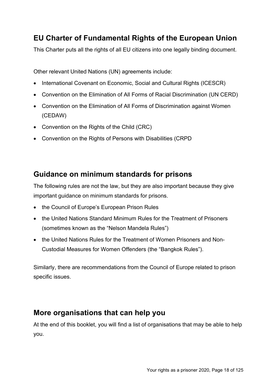## **EU Charter of Fundamental Rights of the European Union**

This Charter puts all the rights of all EU citizens into one legally binding document.

Other relevant United Nations (UN) agreements include:

- International Covenant on Economic, Social and Cultural Rights (ICESCR)
- Convention on the Elimination of All Forms of Racial Discrimination (UN CERD)
- Convention on the Elimination of All Forms of Discrimination against Women (CEDAW)
- Convention on the Rights of the Child (CRC)
- Convention on the Rights of Persons with Disabilities (CRPD

## **Guidance on minimum standards for prisons**

The following rules are not the law, but they are also important because they give important guidance on minimum standards for prisons.

- the Council of Europe's European Prison Rules
- the United Nations Standard Minimum Rules for the Treatment of Prisoners (sometimes known as the "Nelson Mandela Rules")
- the United Nations Rules for the Treatment of Women Prisoners and Non-Custodial Measures for Women Offenders (the "Bangkok Rules").

Similarly, there are recommendations from the Council of Europe related to prison specific issues.

## **More organisations that can help you**

At the end of this booklet, you will find a list of organisations that may be able to help you.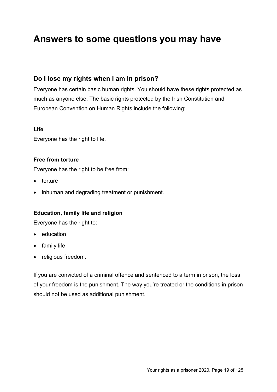## **Answers to some questions you may have**

### **Do I lose my rights when I am in prison?**

Everyone has certain basic human rights. You should have these rights protected as much as anyone else. The basic rights protected by the Irish Constitution and European Convention on Human Rights include the following:

#### **Life**

Everyone has the right to life.

#### **Free from torture**

Everyone has the right to be free from:

- torture
- inhuman and degrading treatment or punishment.

#### **Education, family life and religion**

Everyone has the right to:

- education
- family life
- religious freedom.

If you are convicted of a criminal offence and sentenced to a term in prison, the loss of your freedom is the punishment. The way you're treated or the conditions in prison should not be used as additional punishment.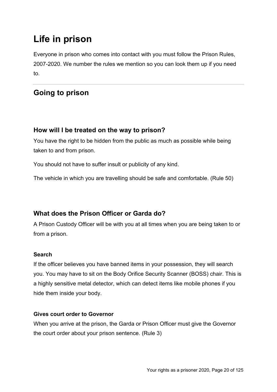## **Life in prison**

Everyone in prison who comes into contact with you must follow the Prison Rules, 2007-2020. We number the rules we mention so you can look them up if you need to.

## **Going to prison**

## **How will I be treated on the way to prison?**

You have the right to be hidden from the public as much as possible while being taken to and from prison.

You should not have to suffer insult or publicity of any kind.

The vehicle in which you are travelling should be safe and comfortable. (Rule 50)

## **What does the Prison Officer or Garda do?**

A Prison Custody Officer will be with you at all times when you are being taken to or from a prison.

#### **Search**

If the officer believes you have banned items in your possession, they will search you. You may have to sit on the Body Orifice Security Scanner (BOSS) chair. This is a highly sensitive metal detector, which can detect items like mobile phones if you hide them inside your body.

#### **Gives court order to Governor**

When you arrive at the prison, the Garda or Prison Officer must give the Governor the court order about your prison sentence. (Rule 3)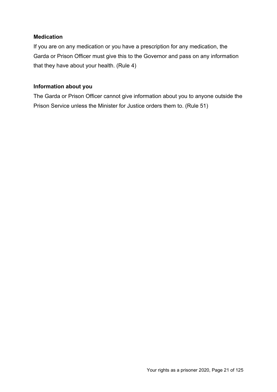#### **Medication**

If you are on any medication or you have a prescription for any medication, the Garda or Prison Officer must give this to the Governor and pass on any information that they have about your health. (Rule 4)

#### **Information about you**

The Garda or Prison Officer cannot give information about you to anyone outside the Prison Service unless the Minister for Justice orders them to. (Rule 51)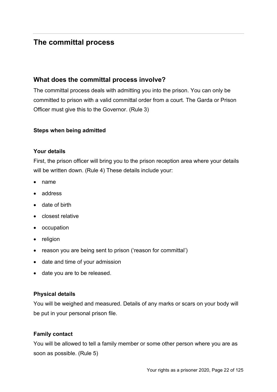## **The committal process**

### **What does the committal process involve?**

The committal process deals with admitting you into the prison. You can only be committed to prison with a valid committal order from a court. The Garda or Prison Officer must give this to the Governor. (Rule 3)

#### **Steps when being admitted**

#### **Your details**

First, the prison officer will bring you to the prison reception area where your details will be written down. (Rule 4) These details include your:

- name
- address
- date of birth
- closest relative
- occupation
- religion
- reason you are being sent to prison ('reason for committal')
- date and time of your admission
- date you are to be released.

#### **Physical details**

You will be weighed and measured. Details of any marks or scars on your body will be put in your personal prison file.

#### **Family contact**

You will be allowed to tell a family member or some other person where you are as soon as possible. (Rule 5)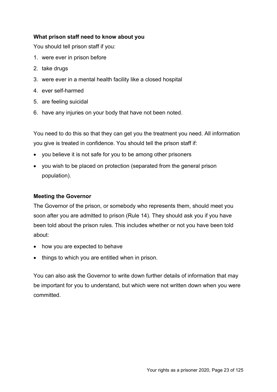#### **What prison staff need to know about you**

You should tell prison staff if you:

- 1. were ever in prison before
- 2. take drugs
- 3. were ever in a mental health facility like a closed hospital
- 4. ever self-harmed
- 5. are feeling suicidal
- 6. have any injuries on your body that have not been noted.

You need to do this so that they can get you the treatment you need. All information you give is treated in confidence. You should tell the prison staff if:

- you believe it is not safe for you to be among other prisoners
- you wish to be placed on protection (separated from the general prison population).

#### **Meeting the Governor**

The Governor of the prison, or somebody who represents them, should meet you soon after you are admitted to prison (Rule 14). They should ask you if you have been told about the prison rules. This includes whether or not you have been told about:

- how you are expected to behave
- things to which you are entitled when in prison.

You can also ask the Governor to write down further details of information that may be important for you to understand, but which were not written down when you were committed.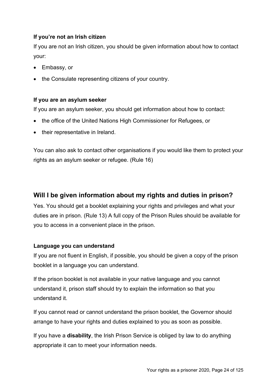#### **If you're not an Irish citizen**

If you are not an Irish citizen, you should be given information about how to contact your:

- Embassy, or
- the Consulate representing citizens of your country.

#### **If you are an asylum seeker**

If you are an asylum seeker, you should get information about how to contact:

- the office of the United Nations High Commissioner for Refugees, or
- their representative in Ireland.

You can also ask to contact other organisations if you would like them to protect your rights as an asylum seeker or refugee. (Rule 16)

## **Will I be given information about my rights and duties in prison?**

Yes. You should get a booklet explaining your rights and privileges and what your duties are in prison. (Rule 13) A full copy of the Prison Rules should be available for you to access in a convenient place in the prison.

#### **Language you can understand**

If you are not fluent in English, if possible, you should be given a copy of the prison booklet in a language you can understand.

If the prison booklet is not available in your native language and you cannot understand it, prison staff should try to explain the information so that you understand it.

If you cannot read or cannot understand the prison booklet, the Governor should arrange to have your rights and duties explained to you as soon as possible.

If you have a **disability**, the Irish Prison Service is obliged by law to do anything appropriate it can to meet your information needs.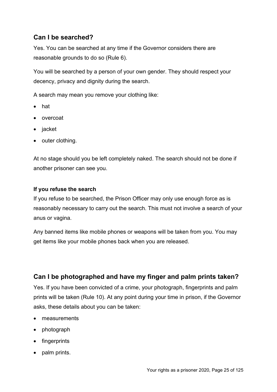## **Can I be searched?**

Yes. You can be searched at any time if the Governor considers there are reasonable grounds to do so (Rule 6).

You will be searched by a person of your own gender. They should respect your decency, privacy and dignity during the search.

A search may mean you remove your clothing like:

- hat
- overcoat
- jacket
- outer clothing.

At no stage should you be left completely naked. The search should not be done if another prisoner can see you.

#### **If you refuse the search**

If you refuse to be searched, the Prison Officer may only use enough force as is reasonably necessary to carry out the search. This must not involve a search of your anus or vagina.

Any banned items like mobile phones or weapons will be taken from you. You may get items like your mobile phones back when you are released.

#### **Can I be photographed and have my finger and palm prints taken?**

Yes. If you have been convicted of a crime, your photograph, fingerprints and palm prints will be taken (Rule 10). At any point during your time in prison, if the Governor asks, these details about you can be taken:

- measurements
- photograph
- fingerprints
- palm prints.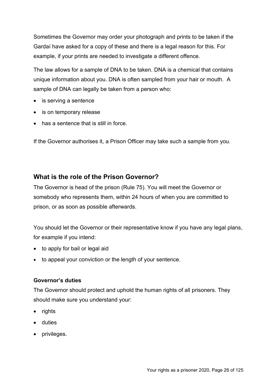Sometimes the Governor may order your photograph and prints to be taken if the Gardaí have asked for a copy of these and there is a legal reason for this. For example, if your prints are needed to investigate a different offence.

The law allows for a sample of DNA to be taken. DNA is a chemical that contains unique information about you. DNA is often sampled from your hair or mouth. A sample of DNA can legally be taken from a person who:

- is serving a sentence
- is on temporary release
- has a sentence that is still in force.

If the Governor authorises it, a Prison Officer may take such a sample from you.

#### **What is the role of the Prison Governor?**

The Governor is head of the prison (Rule 75). You will meet the Governor or somebody who represents them, within 24 hours of when you are committed to prison, or as soon as possible afterwards.

You should let the Governor or their representative know if you have any legal plans, for example if you intend:

- to apply for bail or legal aid
- to appeal your conviction or the length of your sentence.

#### **Governor's duties**

The Governor should protect and uphold the human rights of all prisoners. They should make sure you understand your:

- rights
- duties
- privileges.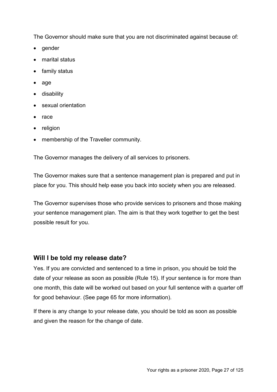The Governor should make sure that you are not discriminated against because of:

- gender
- marital status
- family status
- age
- disability
- sexual orientation
- race
- religion
- membership of the Traveller community.

The Governor manages the delivery of all services to prisoners.

The Governor makes sure that a sentence management plan is prepared and put in place for you. This should help ease you back into society when you are released.

The Governor supervises those who provide services to prisoners and those making your sentence management plan. The aim is that they work together to get the best possible result for you.

#### **Will I be told my release date?**

Yes. If you are convicted and sentenced to a time in prison, you should be told the date of your release as soon as possible (Rule 15). If your sentence is for more than one month, this date will be worked out based on your full sentence with a quarter off for good behaviour. (See page 65 for more information).

If there is any change to your release date, you should be told as soon as possible and given the reason for the change of date.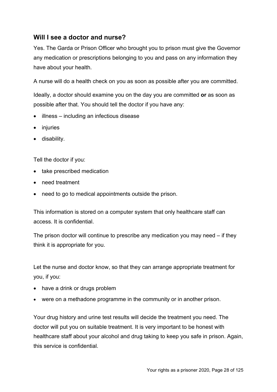## **Will I see a doctor and nurse?**

Yes. The Garda or Prison Officer who brought you to prison must give the Governor any medication or prescriptions belonging to you and pass on any information they have about your health.

A nurse will do a health check on you as soon as possible after you are committed.

Ideally, a doctor should examine you on the day you are committed **or** as soon as possible after that. You should tell the doctor if you have any:

- illness including an infectious disease
- injuries
- disability.

Tell the doctor if you:

- take prescribed medication
- need treatment
- need to go to medical appointments outside the prison.

This information is stored on a computer system that only healthcare staff can access. It is confidential.

The prison doctor will continue to prescribe any medication you may need – if they think it is appropriate for you.

Let the nurse and doctor know, so that they can arrange appropriate treatment for you, if you:

- have a drink or drugs problem
- were on a methadone programme in the community or in another prison.

Your drug history and urine test results will decide the treatment you need. The doctor will put you on suitable treatment. It is very important to be honest with healthcare staff about your alcohol and drug taking to keep you safe in prison. Again, this service is confidential.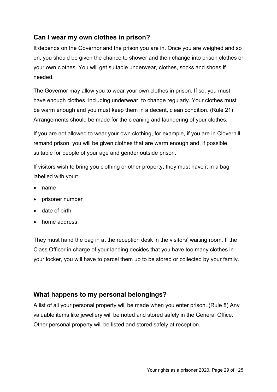## **Can I wear my own clothes in prison?**

It depends on the Governor and the prison you are in. Once you are weighed and so on, you should be given the chance to shower and then change into prison clothes or your own clothes. You will get suitable underwear, clothes, socks and shoes if needed.

The Governor may allow you to wear your own clothes in prison. If so, you must have enough clothes, including underwear, to change regularly. Your clothes must be warm enough and you must keep them in a decent, clean condition. (Rule 21) Arrangements should be made for the cleaning and laundering of your clothes.

If you are not allowed to wear your own clothing, for example, if you are in Cloverhill remand prison, you will be given clothes that are warm enough and, if possible, suitable for people of your age and gender outside prison.

If visitors wish to bring you clothing or other property, they must have it in a bag labelled with your:

- name
- prisoner number
- date of birth
- home address.

They must hand the bag in at the reception desk in the visitors' waiting room. If the Class Officer in charge of your landing decides that you have too many clothes in your locker, you will have to parcel them up to be stored or collected by your family.

#### **What happens to my personal belongings?**

A list of all your personal property will be made when you enter prison. (Rule 8) Any valuable items like jewellery will be noted and stored safely in the General Office. Other personal property will be listed and stored safely at reception.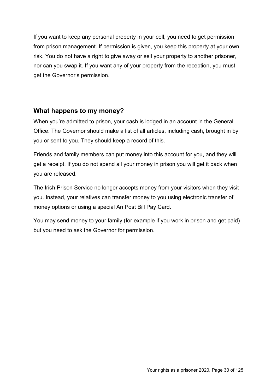If you want to keep any personal property in your cell, you need to get permission from prison management. If permission is given, you keep this property at your own risk. You do not have a right to give away or sell your property to another prisoner, nor can you swap it. If you want any of your property from the reception, you must get the Governor's permission.

## **What happens to my money?**

When you're admitted to prison, your cash is lodged in an account in the General Office. The Governor should make a list of all articles, including cash, brought in by you or sent to you. They should keep a record of this.

Friends and family members can put money into this account for you, and they will get a receipt. If you do not spend all your money in prison you will get it back when you are released.

The Irish Prison Service no longer accepts money from your visitors when they visit you. Instead, your relatives can transfer money to you using electronic transfer of money options or using a special An Post Bill Pay Card.

You may send money to your family (for example if you work in prison and get paid) but you need to ask the Governor for permission.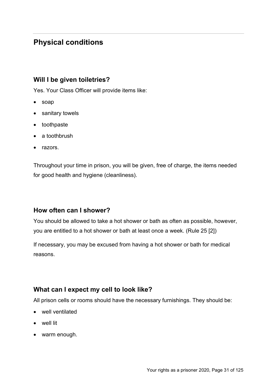## **Physical conditions**

## **Will I be given toiletries?**

Yes. Your Class Officer will provide items like:

- soap
- sanitary towels
- toothpaste
- a toothbrush
- razors.

Throughout your time in prison, you will be given, free of charge, the items needed for good health and hygiene (cleanliness).

#### **How often can I shower?**

You should be allowed to take a hot shower or bath as often as possible, however, you are entitled to a hot shower or bath at least once a week. (Rule 25 [2])

If necessary, you may be excused from having a hot shower or bath for medical reasons.

## **What can I expect my cell to look like?**

All prison cells or rooms should have the necessary furnishings. They should be:

- well ventilated
- well lit
- warm enough.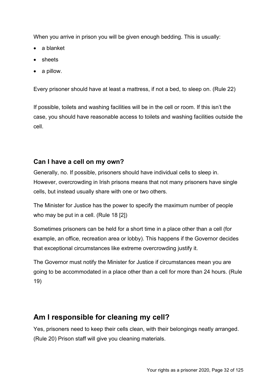When you arrive in prison you will be given enough bedding. This is usually:

- a blanket
- sheets
- a pillow.

Every prisoner should have at least a mattress, if not a bed, to sleep on. (Rule 22)

If possible, toilets and washing facilities will be in the cell or room. If this isn't the case, you should have reasonable access to toilets and washing facilities outside the cell.

## **Can I have a cell on my own?**

Generally, no. If possible, prisoners should have individual cells to sleep in. However, overcrowding in Irish prisons means that not many prisoners have single cells, but instead usually share with one or two others.

The Minister for Justice has the power to specify the maximum number of people who may be put in a cell. (Rule 18 [2])

Sometimes prisoners can be held for a short time in a place other than a cell (for example, an office, recreation area or lobby). This happens if the Governor decides that exceptional circumstances like extreme overcrowding justify it.

The Governor must notify the Minister for Justice if circumstances mean you are going to be accommodated in a place other than a cell for more than 24 hours. (Rule 19)

## **Am I responsible for cleaning my cell?**

Yes, prisoners need to keep their cells clean, with their belongings neatly arranged. (Rule 20) Prison staff will give you cleaning materials.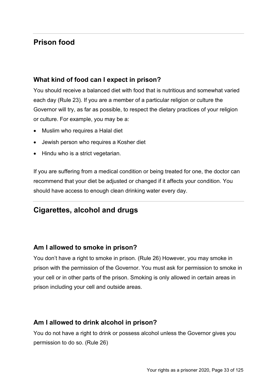## **Prison food**

## **What kind of food can I expect in prison?**

You should receive a balanced diet with food that is nutritious and somewhat varied each day (Rule 23). If you are a member of a particular religion or culture the Governor will try, as far as possible, to respect the dietary practices of your religion or culture. For example, you may be a:

- Muslim who requires a Halal diet
- Jewish person who requires a Kosher diet
- Hindu who is a strict vegetarian.

If you are suffering from a medical condition or being treated for one, the doctor can recommend that your diet be adjusted or changed if it affects your condition. You should have access to enough clean drinking water every day.

## **Cigarettes, alcohol and drugs**

## **Am I allowed to smoke in prison?**

You don't have a right to smoke in prison. (Rule 26) However, you may smoke in prison with the permission of the Governor. You must ask for permission to smoke in your cell or in other parts of the prison. Smoking is only allowed in certain areas in prison including your cell and outside areas.

## **Am I allowed to drink alcohol in prison?**

You do not have a right to drink or possess alcohol unless the Governor gives you permission to do so. (Rule 26)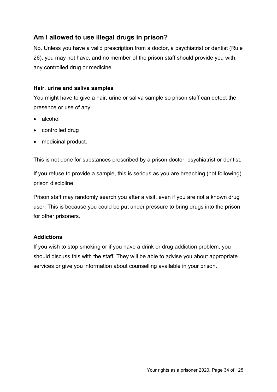## **Am I allowed to use illegal drugs in prison?**

No. Unless you have a valid prescription from a doctor, a psychiatrist or dentist (Rule 26), you may not have, and no member of the prison staff should provide you with, any controlled drug or medicine.

#### **Hair, urine and saliva samples**

You might have to give a hair, urine or saliva sample so prison staff can detect the presence or use of any:

- alcohol
- controlled drug
- medicinal product.

This is not done for substances prescribed by a prison doctor, psychiatrist or dentist.

If you refuse to provide a sample, this is serious as you are breaching (not following) prison discipline.

Prison staff may randomly search you after a visit, even if you are not a known drug user. This is because you could be put under pressure to bring drugs into the prison for other prisoners.

#### **Addictions**

If you wish to stop smoking or if you have a drink or drug addiction problem, you should discuss this with the staff. They will be able to advise you about appropriate services or give you information about counselling available in your prison.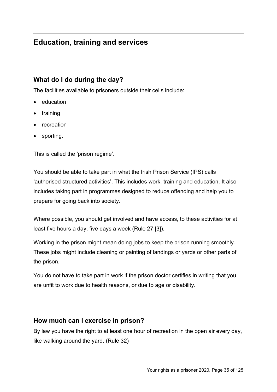## **Education, training and services**

## **What do I do during the day?**

The facilities available to prisoners outside their cells include:

- education
- training
- recreation
- sporting.

This is called the 'prison regime'.

You should be able to take part in what the Irish Prison Service (IPS) calls 'authorised structured activities'. This includes work, training and education. It also includes taking part in programmes designed to reduce offending and help you to prepare for going back into society.

Where possible, you should get involved and have access, to these activities for at least five hours a day, five days a week (Rule 27 [3]).

Working in the prison might mean doing jobs to keep the prison running smoothly. These jobs might include cleaning or painting of landings or yards or other parts of the prison.

You do not have to take part in work if the prison doctor certifies in writing that you are unfit to work due to health reasons, or due to age or disability.

#### **How much can I exercise in prison?**

By law you have the right to at least one hour of recreation in the open air every day, like walking around the yard. (Rule 32)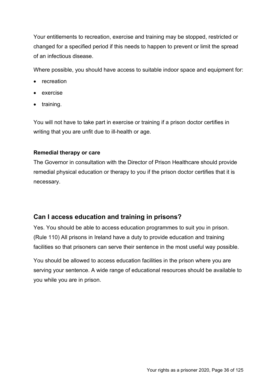Your entitlements to recreation, exercise and training may be stopped, restricted or changed for a specified period if this needs to happen to prevent or limit the spread of an infectious disease.

Where possible, you should have access to suitable indoor space and equipment for:

- recreation
- exercise
- training.

You will not have to take part in exercise or training if a prison doctor certifies in writing that you are unfit due to ill-health or age.

#### **Remedial therapy or care**

The Governor in consultation with the Director of Prison Healthcare should provide remedial physical education or therapy to you if the prison doctor certifies that it is necessary.

## **Can I access education and training in prisons?**

Yes. You should be able to access education programmes to suit you in prison. (Rule 110) All prisons in Ireland have a duty to provide education and training facilities so that prisoners can serve their sentence in the most useful way possible.

You should be allowed to access education facilities in the prison where you are serving your sentence. A wide range of educational resources should be available to you while you are in prison.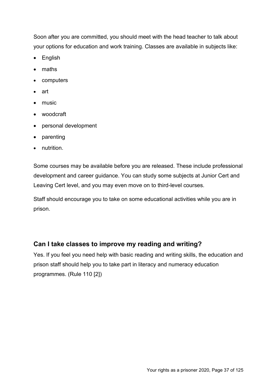Soon after you are committed, you should meet with the head teacher to talk about your options for education and work training. Classes are available in subjects like:

- English
- maths
- computers
- art
- music
- woodcraft
- personal development
- parenting
- nutrition.

Some courses may be available before you are released. These include professional development and career guidance. You can study some subjects at Junior Cert and Leaving Cert level, and you may even move on to third-level courses.

Staff should encourage you to take on some educational activities while you are in prison.

## **Can I take classes to improve my reading and writing?**

Yes. If you feel you need help with basic reading and writing skills, the education and prison staff should help you to take part in literacy and numeracy education programmes. (Rule 110 [2])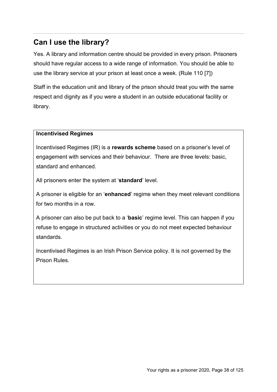# **Can I use the library?**

Yes. A library and information centre should be provided in every prison. Prisoners should have regular access to a wide range of information. You should be able to use the library service at your prison at least once a week. (Rule 110 [7])

Staff in the education unit and library of the prison should treat you with the same respect and dignity as if you were a student in an outside educational facility or library.

### **Incentivised Regimes**

Incentivised Regimes (IR) is a **rewards scheme** based on a prisoner's level of engagement with services and their behaviour. There are three levels: basic, standard and enhanced.

All prisoners enter the system at '**standard**' level.

A prisoner is eligible for an '**enhanced**' regime when they meet relevant conditions for two months in a row.

A prisoner can also be put back to a '**basic**' regime level. This can happen if you refuse to engage in structured activities or you do not meet expected behaviour standards.

Incentivised Regimes is an Irish Prison Service policy. It is not governed by the Prison Rules.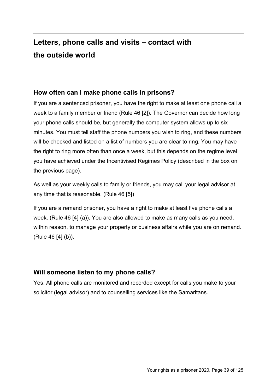# **Letters, phone calls and visits – contact with the outside world**

## **How often can I make phone calls in prisons?**

If you are a sentenced prisoner, you have the right to make at least one phone call a week to a family member or friend (Rule 46 [2]). The Governor can decide how long your phone calls should be, but generally the computer system allows up to six minutes. You must tell staff the phone numbers you wish to ring, and these numbers will be checked and listed on a list of numbers you are clear to ring. You may have the right to ring more often than once a week, but this depends on the regime level you have achieved under the Incentivised Regimes Policy (described in the box on the previous page).

As well as your weekly calls to family or friends, you may call your legal advisor at any time that is reasonable. (Rule 46 [5])

If you are a remand prisoner, you have a right to make at least five phone calls a week. (Rule 46 [4] (a)). You are also allowed to make as many calls as you need, within reason, to manage your property or business affairs while you are on remand. (Rule 46 [4] (b)).

## **Will someone listen to my phone calls?**

Yes. All phone calls are monitored and recorded except for calls you make to your solicitor (legal advisor) and to counselling services like the Samaritans.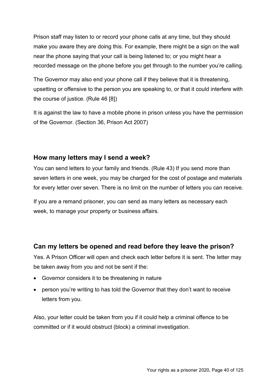Prison staff may listen to or record your phone calls at any time, but they should make you aware they are doing this. For example, there might be a sign on the wall near the phone saying that your call is being listened to; or you might hear a recorded message on the phone before you get through to the number you're calling.

The Governor may also end your phone call if they believe that it is threatening, upsetting or offensive to the person you are speaking to, or that it could interfere with the course of justice. (Rule 46 [8])

It is against the law to have a mobile phone in prison unless you have the permission of the Governor. (Section 36, Prison Act 2007)

## **How many letters may I send a week?**

You can send letters to your family and friends. (Rule 43) If you send more than seven letters in one week, you may be charged for the cost of postage and materials for every letter over seven. There is no limit on the number of letters you can receive.

If you are a remand prisoner, you can send as many letters as necessary each week, to manage your property or business affairs.

## **Can my letters be opened and read before they leave the prison?**

Yes. A Prison Officer will open and check each letter before it is sent. The letter may be taken away from you and not be sent if the:

- Governor considers it to be threatening in nature
- person you're writing to has told the Governor that they don't want to receive letters from you.

Also, your letter could be taken from you if it could help a criminal offence to be committed or if it would obstruct (block) a criminal investigation.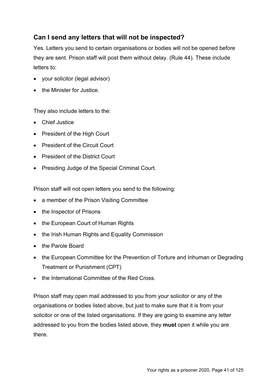## **Can I send any letters that will not be inspected?**

Yes. Letters you send to certain organisations or bodies will not be opened before they are sent. Prison staff will post them without delay. (Rule 44). These include letters to:

- your solicitor (legal advisor)
- the Minister for Justice.

They also include letters to the:

- Chief Justice
- President of the High Court
- President of the Circuit Court
- President of the District Court
- Presiding Judge of the Special Criminal Court.

Prison staff will not open letters you send to the following:

- a member of the Prison Visiting Committee
- the Inspector of Prisons
- the European Court of Human Rights
- the Irish Human Rights and Equality Commission
- the Parole Board
- the European Committee for the Prevention of Torture and Inhuman or Degrading Treatment or Punishment (CPT)
- the International Committee of the Red Cross.

Prison staff may open mail addressed to you from your solicitor or any of the organisations or bodies listed above, but just to make sure that it is from your solicitor or one of the listed organisations. If they are going to examine any letter addressed to you from the bodies listed above, they **must** open it while you are there.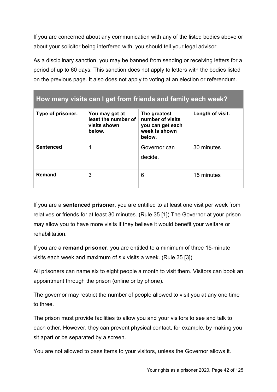If you are concerned about any communication with any of the listed bodies above or about your solicitor being interfered with, you should tell your legal advisor.

As a disciplinary sanction, you may be banned from sending or receiving letters for a period of up to 60 days. This sanction does not apply to letters with the bodies listed on the previous page. It also does not apply to voting at an election or referendum.

| How many visits can I get from friends and family each week? |                                                                 |                                                                                 |                  |
|--------------------------------------------------------------|-----------------------------------------------------------------|---------------------------------------------------------------------------------|------------------|
| Type of prisoner.                                            | You may get at<br>least the number of<br>visits shown<br>below. | The greatest<br>number of visits<br>you can get each<br>week is shown<br>below. | Length of visit. |
| <b>Sentenced</b>                                             | 1                                                               | Governor can<br>decide.                                                         | 30 minutes       |
| <b>Remand</b>                                                | 3                                                               | 6                                                                               | 15 minutes       |

If you are a **sentenced prisoner**, you are entitled to at least one visit per week from relatives or friends for at least 30 minutes. (Rule 35 [1]) The Governor at your prison may allow you to have more visits if they believe it would benefit your welfare or rehabilitation.

If you are a **remand prisoner**, you are entitled to a minimum of three 15-minute visits each week and maximum of six visits a week. (Rule 35 [3])

All prisoners can name six to eight people a month to visit them. Visitors can book an appointment through the prison (online or by phone).

The governor may restrict the number of people allowed to visit you at any one time to three.

The prison must provide facilities to allow you and your visitors to see and talk to each other. However, they can prevent physical contact, for example, by making you sit apart or be separated by a screen.

You are not allowed to pass items to your visitors, unless the Governor allows it.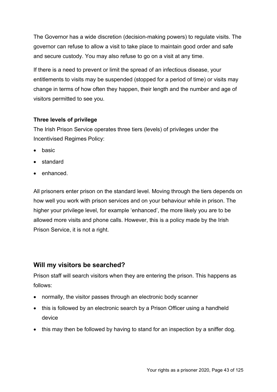The Governor has a wide discretion (decision-making powers) to regulate visits. The governor can refuse to allow a visit to take place to maintain good order and safe and secure custody. You may also refuse to go on a visit at any time.

If there is a need to prevent or limit the spread of an infectious disease, your entitlements to visits may be suspended (stopped for a period of time) or visits may change in terms of how often they happen, their length and the number and age of visitors permitted to see you.

### **Three levels of privilege**

The Irish Prison Service operates three tiers (levels) of privileges under the Incentivised Regimes Policy:

- basic
- standard
- enhanced.

All prisoners enter prison on the standard level. Moving through the tiers depends on how well you work with prison services and on your behaviour while in prison. The higher your privilege level, for example 'enhanced', the more likely you are to be allowed more visits and phone calls. However, this is a policy made by the Irish Prison Service, it is not a right.

## **Will my visitors be searched?**

Prison staff will search visitors when they are entering the prison. This happens as follows:

- normally, the visitor passes through an electronic body scanner
- this is followed by an electronic search by a Prison Officer using a handheld device
- this may then be followed by having to stand for an inspection by a sniffer dog.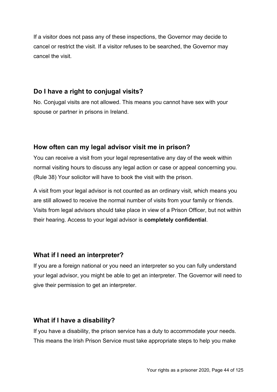If a visitor does not pass any of these inspections, the Governor may decide to cancel or restrict the visit. If a visitor refuses to be searched, the Governor may cancel the visit.

## **Do I have a right to conjugal visits?**

No. Conjugal visits are not allowed. This means you cannot have sex with your spouse or partner in prisons in Ireland.

## **How often can my legal advisor visit me in prison?**

You can receive a visit from your legal representative any day of the week within normal visiting hours to discuss any legal action or case or appeal concerning you. (Rule 38) Your solicitor will have to book the visit with the prison.

A visit from your legal advisor is not counted as an ordinary visit, which means you are still allowed to receive the normal number of visits from your family or friends. Visits from legal advisors should take place in view of a Prison Officer, but not within their hearing. Access to your legal advisor is **completely confidential**.

## **What if I need an interpreter?**

If you are a foreign national or you need an interpreter so you can fully understand your legal advisor, you might be able to get an interpreter. The Governor will need to give their permission to get an interpreter.

## **What if I have a disability?**

If you have a disability, the prison service has a duty to accommodate your needs. This means the Irish Prison Service must take appropriate steps to help you make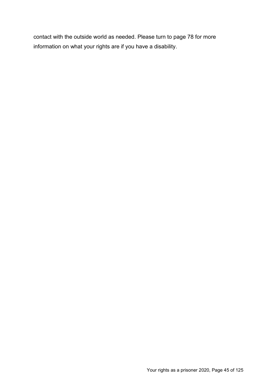contact with the outside world as needed. Please turn to page 78 for more information on what your rights are if you have a disability.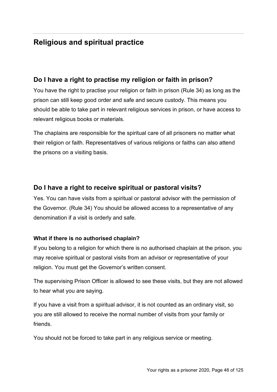# **Religious and spiritual practice**

## **Do I have a right to practise my religion or faith in prison?**

You have the right to practise your religion or faith in prison (Rule 34) as long as the prison can still keep good order and safe and secure custody. This means you should be able to take part in relevant religious services in prison, or have access to relevant religious books or materials.

The chaplains are responsible for the spiritual care of all prisoners no matter what their religion or faith. Representatives of various religions or faiths can also attend the prisons on a visiting basis.

## **Do I have a right to receive spiritual or pastoral visits?**

Yes. You can have visits from a spiritual or pastoral advisor with the permission of the Governor. (Rule 34) You should be allowed access to a representative of any denomination if a visit is orderly and safe.

### **What if there is no authorised chaplain?**

If you belong to a religion for which there is no authorised chaplain at the prison, you may receive spiritual or pastoral visits from an advisor or representative of your religion. You must get the Governor's written consent.

The supervising Prison Officer is allowed to see these visits, but they are not allowed to hear what you are saying.

If you have a visit from a spiritual advisor, it is not counted as an ordinary visit, so you are still allowed to receive the normal number of visits from your family or friends.

You should not be forced to take part in any religious service or meeting.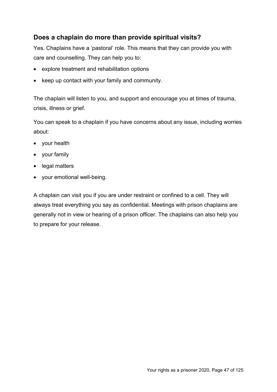## **Does a chaplain do more than provide spiritual visits?**

Yes. Chaplains have a 'pastoral' role. This means that they can provide you with care and counselling. They can help you to:

- explore treatment and rehabilitation options
- keep up contact with your family and community.

The chaplain will listen to you, and support and encourage you at times of trauma, crisis, illness or grief.

You can speak to a chaplain if you have concerns about any issue, including worries about:

- your health
- your family
- legal matters
- your emotional well-being.

A chaplain can visit you if you are under restraint or confined to a cell. They will always treat everything you say as confidential. Meetings with prison chaplains are generally not in view or hearing of a prison officer. The chaplains can also help you to prepare for your release.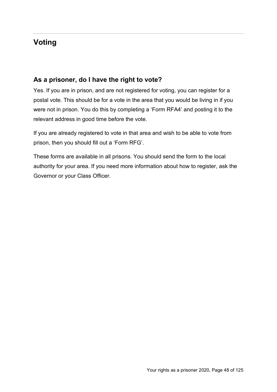# **Voting**

## **As a prisoner, do I have the right to vote?**

Yes. If you are in prison, and are not registered for voting, you can register for a postal vote. This should be for a vote in the area that you would be living in if you were not in prison. You do this by completing a 'Form RFA4' and posting it to the relevant address in good time before the vote.

If you are already registered to vote in that area and wish to be able to vote from prison, then you should fill out a 'Form RFG'.

These forms are available in all prisons. You should send the form to the local authority for your area. If you need more information about how to register, ask the Governor or your Class Officer.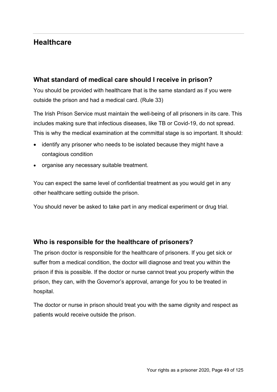## **Healthcare**

## **What standard of medical care should I receive in prison?**

You should be provided with healthcare that is the same standard as if you were outside the prison and had a medical card. (Rule 33)

The Irish Prison Service must maintain the well-being of all prisoners in its care. This includes making sure that infectious diseases, like TB or Covid-19, do not spread. This is why the medical examination at the committal stage is so important. It should:

- identify any prisoner who needs to be isolated because they might have a contagious condition
- organise any necessary suitable treatment.

You can expect the same level of confidential treatment as you would get in any other healthcare setting outside the prison.

You should never be asked to take part in any medical experiment or drug trial.

## **Who is responsible for the healthcare of prisoners?**

The prison doctor is responsible for the healthcare of prisoners. If you get sick or suffer from a medical condition, the doctor will diagnose and treat you within the prison if this is possible. If the doctor or nurse cannot treat you properly within the prison, they can, with the Governor's approval, arrange for you to be treated in hospital.

The doctor or nurse in prison should treat you with the same dignity and respect as patients would receive outside the prison.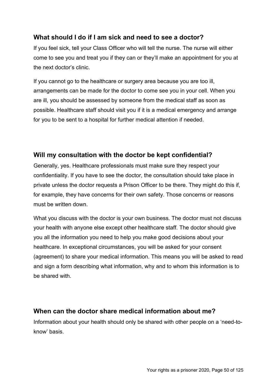## **What should I do if I am sick and need to see a doctor?**

If you feel sick, tell your Class Officer who will tell the nurse. The nurse will either come to see you and treat you if they can or they'll make an appointment for you at the next doctor's clinic.

If you cannot go to the healthcare or surgery area because you are too ill, arrangements can be made for the doctor to come see you in your cell. When you are ill, you should be assessed by someone from the medical staff as soon as possible. Healthcare staff should visit you if it is a medical emergency and arrange for you to be sent to a hospital for further medical attention if needed.

## **Will my consultation with the doctor be kept confidential?**

Generally, yes. Healthcare professionals must make sure they respect your confidentiality. If you have to see the doctor, the consultation should take place in private unless the doctor requests a Prison Officer to be there. They might do this if, for example, they have concerns for their own safety. Those concerns or reasons must be written down.

What you discuss with the doctor is your own business. The doctor must not discuss your health with anyone else except other healthcare staff. The doctor should give you all the information you need to help you make good decisions about your healthcare. In exceptional circumstances, you will be asked for your consent (agreement) to share your medical information. This means you will be asked to read and sign a form describing what information, why and to whom this information is to be shared with.

## **When can the doctor share medical information about me?**

Information about your health should only be shared with other people on a 'need-toknow' basis.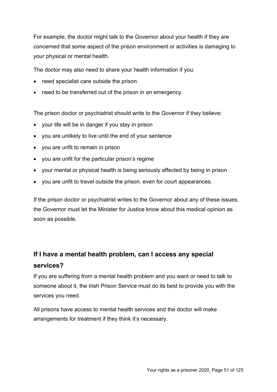For example, the doctor might talk to the Governor about your health if they are concerned that some aspect of the prison environment or activities is damaging to your physical or mental health.

The doctor may also need to share your health information if you:

- need specialist care outside the prison
- need to be transferred out of the prison in an emergency.

The prison doctor or psychiatrist should write to the Governor if they believe:

- your life will be in danger if you stay in prison
- you are unlikely to live until the end of your sentence
- you are unfit to remain in prison
- you are unfit for the particular prison's regime
- your mental or physical health is being seriously affected by being in prison
- you are unfit to travel outside the prison, even for court appearances.

If the prison doctor or psychiatrist writes to the Governor about any of these issues, the Governor must let the Minister for Justice know about this medical opinion as soon as possible.

# **If I have a mental health problem, can I access any special services?**

If you are suffering from a mental health problem and you want or need to talk to someone about it, the Irish Prison Service must do its best to provide you with the services you need.

All prisons have access to mental health services and the doctor will make arrangements for treatment if they think it's necessary.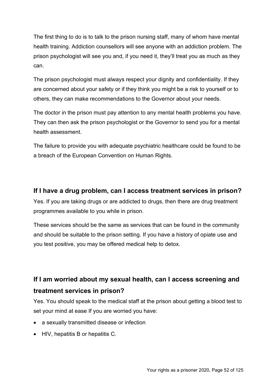The first thing to do is to talk to the prison nursing staff, many of whom have mental health training. Addiction counsellors will see anyone with an addiction problem. The prison psychologist will see you and, if you need it, they'll treat you as much as they can.

The prison psychologist must always respect your dignity and confidentiality. If they are concerned about your safety or if they think you might be a risk to yourself or to others, they can make recommendations to the Governor about your needs.

The doctor in the prison must pay attention to any mental health problems you have. They can then ask the prison psychologist or the Governor to send you for a mental health assessment.

The failure to provide you with adequate psychiatric healthcare could be found to be a breach of the European Convention on Human Rights.

## **If I have a drug problem, can I access treatment services in prison?**

Yes. If you are taking drugs or are addicted to drugs, then there are drug treatment programmes available to you while in prison.

These services should be the same as services that can be found in the community and should be suitable to the prison setting. If you have a history of opiate use and you test positive, you may be offered medical help to detox.

# **If I am worried about my sexual health, can I access screening and treatment services in prison?**

Yes. You should speak to the medical staff at the prison about getting a blood test to set your mind at ease If you are worried you have:

- a sexually transmitted disease or infection
- HIV, hepatitis B or hepatitis C.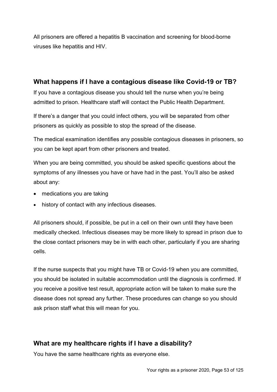All prisoners are offered a hepatitis B vaccination and screening for blood-borne viruses like hepatitis and HIV.

## **What happens if I have a contagious disease like Covid-19 or TB?**

If you have a contagious disease you should tell the nurse when you're being admitted to prison. Healthcare staff will contact the Public Health Department.

If there's a danger that you could infect others, you will be separated from other prisoners as quickly as possible to stop the spread of the disease.

The medical examination identifies any possible contagious diseases in prisoners, so you can be kept apart from other prisoners and treated.

When you are being committed, you should be asked specific questions about the symptoms of any illnesses you have or have had in the past. You'll also be asked about any:

- medications you are taking
- history of contact with any infectious diseases.

All prisoners should, if possible, be put in a cell on their own until they have been medically checked. Infectious diseases may be more likely to spread in prison due to the close contact prisoners may be in with each other, particularly if you are sharing cells.

If the nurse suspects that you might have TB or Covid-19 when you are committed, you should be isolated in suitable accommodation until the diagnosis is confirmed. If you receive a positive test result, appropriate action will be taken to make sure the disease does not spread any further. These procedures can change so you should ask prison staff what this will mean for you.

## **What are my healthcare rights if I have a disability?**

You have the same healthcare rights as everyone else.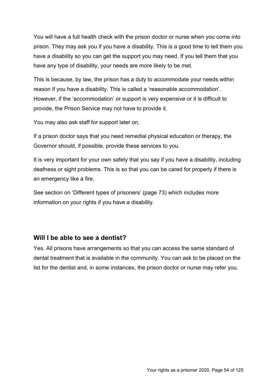You will have a full health check with the prison doctor or nurse when you come into prison. They may ask you if you have a disability. This is a good time to tell them you have a disability so you can get the support you may need. If you tell them that you have any type of disability, your needs are more likely to be met.

This is because, by law, the prison has a duty to accommodate your needs within reason if you have a disability. This is called a 'reasonable accommodation'. However, if the 'accommodation' or support is very expensive or it is difficult to provide, the Prison Service may not have to provide it.

You may also ask staff for support later on.

If a prison doctor says that you need remedial physical education or therapy, the Governor should, if possible, provide these services to you.

It is very important for your own safety that you say if you have a disability, including deafness or sight problems. This is so that you can be cared for properly if there is an emergency like a fire.

See section on 'Different types of prisoners' (page 73) which includes more information on your rights if you have a disability.

## **Will I be able to see a dentist?**

Yes. All prisons have arrangements so that you can access the same standard of dental treatment that is available in the community. You can ask to be placed on the list for the dentist and, in some instances, the prison doctor or nurse may refer you.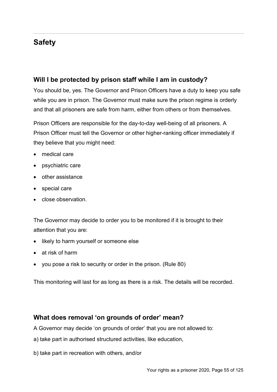# **Safety**

## **Will I be protected by prison staff while I am in custody?**

You should be, yes. The Governor and Prison Officers have a duty to keep you safe while you are in prison. The Governor must make sure the prison regime is orderly and that all prisoners are safe from harm, either from others or from themselves.

Prison Officers are responsible for the day-to-day well-being of all prisoners. A Prison Officer must tell the Governor or other higher-ranking officer immediately if they believe that you might need:

- medical care
- psychiatric care
- other assistance
- special care
- close observation.

The Governor may decide to order you to be monitored if it is brought to their attention that you are:

- likely to harm yourself or someone else
- at risk of harm
- you pose a risk to security or order in the prison. (Rule 80)

This monitoring will last for as long as there is a risk. The details will be recorded.

## **What does removal 'on grounds of order' mean?**

A Governor may decide 'on grounds of order' that you are not allowed to:

- a) take part in authorised structured activities, like education,
- b) take part in recreation with others, and/or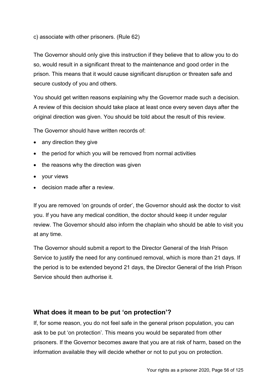c) associate with other prisoners. (Rule 62)

The Governor should only give this instruction if they believe that to allow you to do so, would result in a significant threat to the maintenance and good order in the prison. This means that it would cause significant disruption or threaten safe and secure custody of you and others.

You should get written reasons explaining why the Governor made such a decision. A review of this decision should take place at least once every seven days after the original direction was given. You should be told about the result of this review.

The Governor should have written records of:

- any direction they give
- the period for which you will be removed from normal activities
- the reasons why the direction was given
- your views
- decision made after a review

If you are removed 'on grounds of order', the Governor should ask the doctor to visit you. If you have any medical condition, the doctor should keep it under regular review. The Governor should also inform the chaplain who should be able to visit you at any time.

The Governor should submit a report to the Director General of the Irish Prison Service to justify the need for any continued removal, which is more than 21 days. If the period is to be extended beyond 21 days, the Director General of the Irish Prison Service should then authorise it.

## **What does it mean to be put 'on protection'?**

If, for some reason, you do not feel safe in the general prison population, you can ask to be put 'on protection'. This means you would be separated from other prisoners. If the Governor becomes aware that you are at risk of harm, based on the information available they will decide whether or not to put you on protection.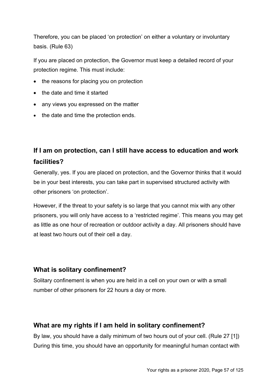Therefore, you can be placed 'on protection' on either a voluntary or involuntary basis. (Rule 63)

If you are placed on protection, the Governor must keep a detailed record of your protection regime. This must include:

- the reasons for placing you on protection
- the date and time it started
- any views you expressed on the matter
- the date and time the protection ends.

# **If I am on protection, can I still have access to education and work facilities?**

Generally, yes. If you are placed on protection, and the Governor thinks that it would be in your best interests, you can take part in supervised structured activity with other prisoners 'on protection'.

However, if the threat to your safety is so large that you cannot mix with any other prisoners, you will only have access to a 'restricted regime'. This means you may get as little as one hour of recreation or outdoor activity a day. All prisoners should have at least two hours out of their cell a day.

## **What is solitary confinement?**

Solitary confinement is when you are held in a cell on your own or with a small number of other prisoners for 22 hours a day or more.

## **What are my rights if I am held in solitary confinement?**

By law, you should have a daily minimum of two hours out of your cell. (Rule 27 [1]) During this time, you should have an opportunity for meaningful human contact with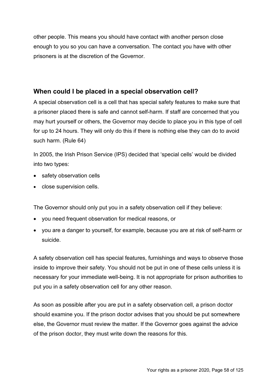other people. This means you should have contact with another person close enough to you so you can have a conversation. The contact you have with other prisoners is at the discretion of the Governor.

## **When could I be placed in a special observation cell?**

A special observation cell is a cell that has special safety features to make sure that a prisoner placed there is safe and cannot self-harm. If staff are concerned that you may hurt yourself or others, the Governor may decide to place you in this type of cell for up to 24 hours. They will only do this if there is nothing else they can do to avoid such harm. (Rule 64)

In 2005, the Irish Prison Service (IPS) decided that 'special cells' would be divided into two types:

- safety observation cells
- close supervision cells.

The Governor should only put you in a safety observation cell if they believe:

- you need frequent observation for medical reasons, or
- you are a danger to yourself, for example, because you are at risk of self-harm or suicide.

A safety observation cell has special features, furnishings and ways to observe those inside to improve their safety. You should not be put in one of these cells unless it is necessary for your immediate well-being. It is not appropriate for prison authorities to put you in a safety observation cell for any other reason.

As soon as possible after you are put in a safety observation cell, a prison doctor should examine you. If the prison doctor advises that you should be put somewhere else, the Governor must review the matter. If the Governor goes against the advice of the prison doctor, they must write down the reasons for this.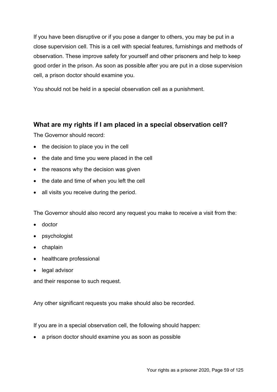If you have been disruptive or if you pose a danger to others, you may be put in a close supervision cell. This is a cell with special features, furnishings and methods of observation. These improve safety for yourself and other prisoners and help to keep good order in the prison. As soon as possible after you are put in a close supervision cell, a prison doctor should examine you.

You should not be held in a special observation cell as a punishment.

## **What are my rights if I am placed in a special observation cell?**

The Governor should record:

- the decision to place you in the cell
- the date and time you were placed in the cell
- the reasons why the decision was given
- the date and time of when you left the cell
- all visits you receive during the period.

The Governor should also record any request you make to receive a visit from the:

- doctor
- psychologist
- chaplain
- healthcare professional
- legal advisor

and their response to such request.

Any other significant requests you make should also be recorded.

If you are in a special observation cell, the following should happen:

• a prison doctor should examine you as soon as possible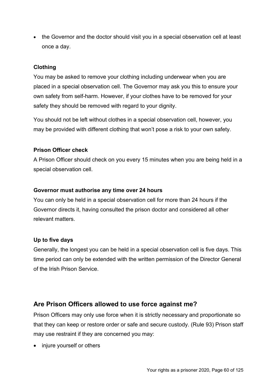• the Governor and the doctor should visit you in a special observation cell at least once a day.

### **Clothing**

You may be asked to remove your clothing including underwear when you are placed in a special observation cell. The Governor may ask you this to ensure your own safety from self-harm. However, if your clothes have to be removed for your safety they should be removed with regard to your dignity.

You should not be left without clothes in a special observation cell, however, you may be provided with different clothing that won't pose a risk to your own safety.

### **Prison Officer check**

A Prison Officer should check on you every 15 minutes when you are being held in a special observation cell.

### **Governor must authorise any time over 24 hours**

You can only be held in a special observation cell for more than 24 hours if the Governor directs it, having consulted the prison doctor and considered all other relevant matters.

### **Up to five days**

Generally, the longest you can be held in a special observation cell is five days. This time period can only be extended with the written permission of the Director General of the Irish Prison Service.

### **Are Prison Officers allowed to use force against me?**

Prison Officers may only use force when it is strictly necessary and proportionate so that they can keep or restore order or safe and secure custody. (Rule 93) Prison staff may use restraint if they are concerned you may:

• injure yourself or others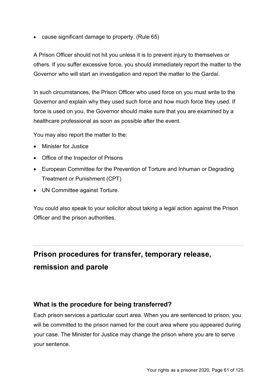• cause significant damage to property. (Rule 65)

A Prison Officer should not hit you unless it is to prevent injury to themselves or others. If you suffer excessive force, you should immediately report the matter to the Governor who will start an investigation and report the matter to the Gardaí.

In such circumstances, the Prison Officer who used force on you must write to the Governor and explain why they used such force and how much force they used. If force is used on you, the Governor should make sure that you are examined by a healthcare professional as soon as possible after the event.

You may also report the matter to the:

- Minister for Justice
- Office of the Inspector of Prisons
- European Committee for the Prevention of Torture and Inhuman or Degrading Treatment or Punishment (CPT)
- UN Committee against Torture.

You could also speak to your solicitor about taking a legal action against the Prison Officer and the prison authorities.

# **Prison procedures for transfer, temporary release, remission and parole**

## **What is the procedure for being transferred?**

Each prison services a particular court area. When you are sentenced to prison, you will be committed to the prison named for the court area where you appeared during your case. The Minister for Justice may change the prison where you are to serve your sentence.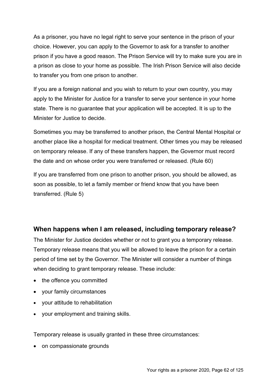As a prisoner, you have no legal right to serve your sentence in the prison of your choice. However, you can apply to the Governor to ask for a transfer to another prison if you have a good reason. The Prison Service will try to make sure you are in a prison as close to your home as possible. The Irish Prison Service will also decide to transfer you from one prison to another.

If you are a foreign national and you wish to return to your own country, you may apply to the Minister for Justice for a transfer to serve your sentence in your home state. There is no guarantee that your application will be accepted. It is up to the Minister for Justice to decide.

Sometimes you may be transferred to another prison, the Central Mental Hospital or another place like a hospital for medical treatment. Other times you may be released on temporary release. If any of these transfers happen, the Governor must record the date and on whose order you were transferred or released. (Rule 60)

If you are transferred from one prison to another prison, you should be allowed, as soon as possible, to let a family member or friend know that you have been transferred. (Rule 5)

## **When happens when I am released, including temporary release?**

The Minister for Justice decides whether or not to grant you a temporary release. Temporary release means that you will be allowed to leave the prison for a certain period of time set by the Governor. The Minister will consider a number of things when deciding to grant temporary release. These include:

- the offence you committed
- your family circumstances
- your attitude to rehabilitation
- your employment and training skills.

Temporary release is usually granted in these three circumstances:

• on compassionate grounds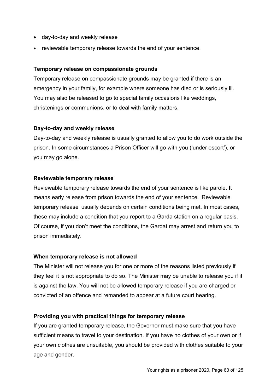- day-to-day and weekly release
- reviewable temporary release towards the end of your sentence.

### **Temporary release on compassionate grounds**

Temporary release on compassionate grounds may be granted if there is an emergency in your family, for example where someone has died or is seriously ill. You may also be released to go to special family occasions like weddings, christenings or communions, or to deal with family matters.

### **Day-to-day and weekly release**

Day-to-day and weekly release is usually granted to allow you to do work outside the prison. In some circumstances a Prison Officer will go with you ('under escort'), or you may go alone.

### **Reviewable temporary release**

Reviewable temporary release towards the end of your sentence is like parole. It means early release from prison towards the end of your sentence. 'Reviewable temporary release' usually depends on certain conditions being met. In most cases, these may include a condition that you report to a Garda station on a regular basis. Of course, if you don't meet the conditions, the Gardaí may arrest and return you to prison immediately.

### **When temporary release is not allowed**

The Minister will not release you for one or more of the reasons listed previously if they feel it is not appropriate to do so. The Minister may be unable to release you if it is against the law. You will not be allowed temporary release if you are charged or convicted of an offence and remanded to appear at a future court hearing.

### **Providing you with practical things for temporary release**

If you are granted temporary release, the Governor must make sure that you have sufficient means to travel to your destination. If you have no clothes of your own or if your own clothes are unsuitable, you should be provided with clothes suitable to your age and gender.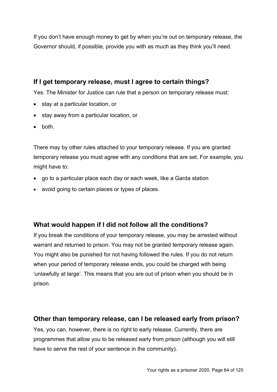If you don't have enough money to get by when you're out on temporary release, the Governor should, if possible, provide you with as much as they think you'll need.

## **If I get temporary release, must I agree to certain things?**

Yes. The Minister for Justice can rule that a person on temporary release must:

- stay at a particular location, or
- stay away from a particular location, or
- both.

There may by other rules attached to your temporary release. If you are granted temporary release you must agree with any conditions that are set. For example, you might have to:

- go to a particular place each day or each week, like a Garda station
- avoid going to certain places or types of places.

## **What would happen if I did not follow all the conditions?**

If you break the conditions of your temporary release, you may be arrested without warrant and returned to prison. You may not be granted temporary release again. You might also be punished for not having followed the rules. If you do not return when your period of temporary release ends, you could be charged with being 'unlawfully at large'. This means that you are out of prison when you should be in prison.

### **Other than temporary release, can I be released early from prison?**

Yes, you can, however, there is no right to early release. Currently, there are programmes that allow you to be released early from prison (although you will still have to serve the rest of your sentence in the community).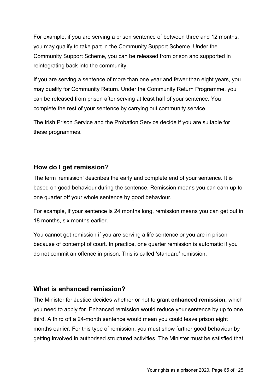For example, if you are serving a prison sentence of between three and 12 months, you may qualify to take part in the Community Support Scheme. Under the Community Support Scheme, you can be released from prison and supported in reintegrating back into the community.

If you are serving a sentence of more than one year and fewer than eight years, you may qualify for Community Return. Under the Community Return Programme, you can be released from prison after serving at least half of your sentence. You complete the rest of your sentence by carrying out community service.

The Irish Prison Service and the Probation Service decide if you are suitable for these programmes.

## **How do I get remission?**

The term 'remission' describes the early and complete end of your sentence. It is based on good behaviour during the sentence. Remission means you can earn up to one quarter off your whole sentence by good behaviour.

For example, if your sentence is 24 months long, remission means you can get out in 18 months, six months earlier.

You cannot get remission if you are serving a life sentence or you are in prison because of contempt of court. In practice, one quarter remission is automatic if you do not commit an offence in prison. This is called 'standard' remission.

## **What is enhanced remission?**

The Minister for Justice decides whether or not to grant **enhanced remission,** which you need to apply for. Enhanced remission would reduce your sentence by up to one third. A third off a 24-month sentence would mean you could leave prison eight months earlier. For this type of remission, you must show further good behaviour by getting involved in authorised structured activities. The Minister must be satisfied that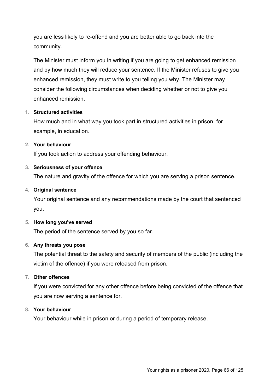you are less likely to re-offend and you are better able to go back into the community.

The Minister must inform you in writing if you are going to get enhanced remission and by how much they will reduce your sentence. If the Minister refuses to give you enhanced remission, they must write to you telling you why. The Minister may consider the following circumstances when deciding whether or not to give you enhanced remission.

### **1. Structured activities**

How much and in what way you took part in structured activities in prison, for example, in education.

### **2. Your behaviour**

If you took action to address your offending behaviour.

### **3. Seriousness of your offence**

The nature and gravity of the offence for which you are serving a prison sentence.

### **4. Original sentence**

Your original sentence and any recommendations made by the court that sentenced you.

### **5. How long you've served**

The period of the sentence served by you so far.

### **6. Any threats you pose**

The potential threat to the safety and security of members of the public (including the victim of the offence) if you were released from prison.

#### **7. Other offences**

If you were convicted for any other offence before being convicted of the offence that you are now serving a sentence for.

#### **8. Your behaviour**

Your behaviour while in prison or during a period of temporary release.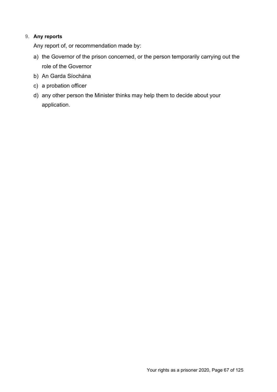### **9. Any reports**

Any report of, or recommendation made by:

- a) the Governor of the prison concerned, or the person temporarily carrying out the role of the Governor
- b) An Garda Síochána
- c) a probation officer
- d) any other person the Minister thinks may help them to decide about your application.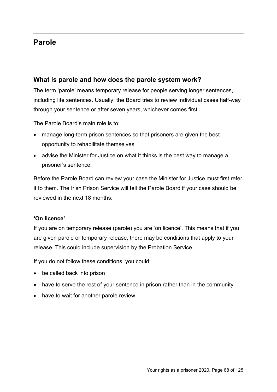# **Parole**

## **What is parole and how does the parole system work?**

The term 'parole' means temporary release for people serving longer sentences, including life sentences. Usually, the Board tries to review individual cases half-way through your sentence or after seven years, whichever comes first.

The Parole Board's main role is to:

- manage long-term prison sentences so that prisoners are given the best opportunity to rehabilitate themselves
- advise the Minister for Justice on what it thinks is the best way to manage a prisoner's sentence.

Before the Parole Board can review your case the Minister for Justice must first refer it to them. The Irish Prison Service will tell the Parole Board if your case should be reviewed in the next 18 months.

### **'On licence'**

If you are on temporary release (parole) you are 'on licence'. This means that if you are given parole or temporary release, there may be conditions that apply to your release. This could include supervision by the Probation Service.

If you do not follow these conditions, you could:

- be called back into prison
- have to serve the rest of your sentence in prison rather than in the community
- have to wait for another parole review.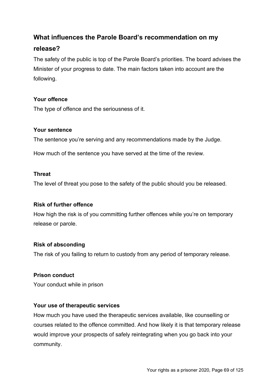## **What influences the Parole Board's recommendation on my**

## **release?**

The safety of the public is top of the Parole Board's priorities. The board advises the Minister of your progress to date. The main factors taken into account are the following.

### **Your offence**

The type of offence and the seriousness of it.

### **Your sentence**

The sentence you're serving and any recommendations made by the Judge.

How much of the sentence you have served at the time of the review.

### **Threat**

The level of threat you pose to the safety of the public should you be released.

### **Risk of further offence**

How high the risk is of you committing further offences while you're on temporary release or parole.

### **Risk of absconding**

The risk of you failing to return to custody from any period of temporary release.

### **Prison conduct**

Your conduct while in prison

### **Your use of therapeutic services**

How much you have used the therapeutic services available, like counselling or courses related to the offence committed. And how likely it is that temporary release would improve your prospects of safely reintegrating when you go back into your community.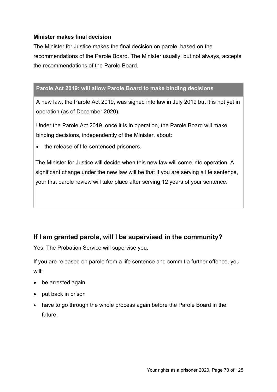### **Minister makes final decision**

The Minister for Justice makes the final decision on parole, based on the recommendations of the Parole Board. The Minister usually, but not always, accepts the recommendations of the Parole Board.

### **Parole Act 2019: will allow Parole Board to make binding decisions**

A new law, the Parole Act 2019, was signed into law in July 2019 but it is not yet in operation (as of December 2020).

Under the Parole Act 2019, once it is in operation, the Parole Board will make binding decisions, independently of the Minister, about:

• the release of life-sentenced prisoners.

The Minister for Justice will decide when this new law will come into operation. A significant change under the new law will be that if you are serving a life sentence, your first parole review will take place after serving 12 years of your sentence.

## **If I am granted parole, will I be supervised in the community?**

Yes. The Probation Service will supervise you.

If you are released on parole from a life sentence and commit a further offence, you will:

- be arrested again
- put back in prison
- have to go through the whole process again before the Parole Board in the future.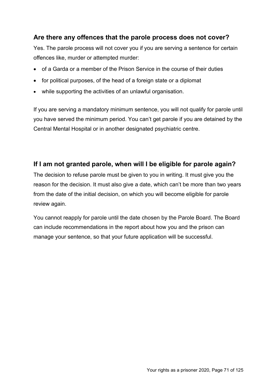## **Are there any offences that the parole process does not cover?**

Yes. The parole process will not cover you if you are serving a sentence for certain offences like, murder or attempted murder:

- of a Garda or a member of the Prison Service in the course of their duties
- for political purposes, of the head of a foreign state or a diplomat
- while supporting the activities of an unlawful organisation.

If you are serving a mandatory minimum sentence, you will not qualify for parole until you have served the minimum period. You can't get parole if you are detained by the Central Mental Hospital or in another designated psychiatric centre.

## **If I am not granted parole, when will I be eligible for parole again?**

The decision to refuse parole must be given to you in writing. It must give you the reason for the decision. It must also give a date, which can't be more than two years from the date of the initial decision, on which you will become eligible for parole review again.

You cannot reapply for parole until the date chosen by the Parole Board. The Board can include recommendations in the report about how you and the prison can manage your sentence, so that your future application will be successful.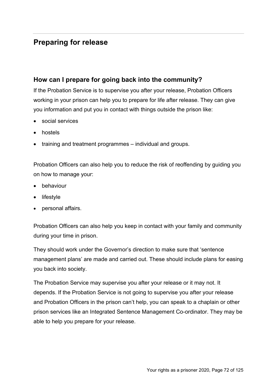# **Preparing for release**

## **How can I prepare for going back into the community?**

If the Probation Service is to supervise you after your release, Probation Officers working in your prison can help you to prepare for life after release. They can give you information and put you in contact with things outside the prison like:

- social services
- hostels
- training and treatment programmes individual and groups.

Probation Officers can also help you to reduce the risk of reoffending by guiding you on how to manage your:

- behaviour
- lifestyle
- personal affairs.

Probation Officers can also help you keep in contact with your family and community during your time in prison.

They should work under the Governor's direction to make sure that 'sentence management plans' are made and carried out. These should include plans for easing you back into society.

The Probation Service may supervise you after your release or it may not. It depends. If the Probation Service is not going to supervise you after your release and Probation Officers in the prison can't help, you can speak to a chaplain or other prison services like an Integrated Sentence Management Co-ordinator. They may be able to help you prepare for your release.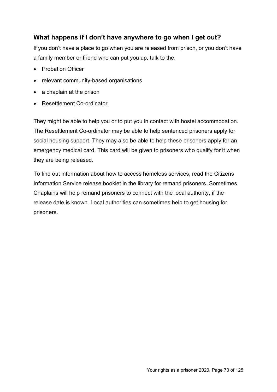#### **What happens if I don't have anywhere to go when I get out?**

If you don't have a place to go when you are released from prison, or you don't have a family member or friend who can put you up, talk to the:

- Probation Officer
- relevant community-based organisations
- a chaplain at the prison
- Resettlement Co-ordinator.

They might be able to help you or to put you in contact with hostel accommodation. The Resettlement Co-ordinator may be able to help sentenced prisoners apply for social housing support. They may also be able to help these prisoners apply for an emergency medical card. This card will be given to prisoners who qualify for it when they are being released.

To find out information about how to access homeless services, read the Citizens Information Service release booklet in the library for remand prisoners. Sometimes Chaplains will help remand prisoners to connect with the local authority, if the release date is known. Local authorities can sometimes help to get housing for prisoners.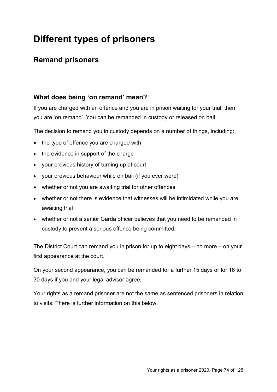# **Different types of prisoners**

## **Remand prisoners**

#### **What does being 'on remand' mean?**

If you are charged with an offence and you are in prison waiting for your trial, then you are 'on remand'. You can be remanded in custody or released on bail.

The decision to remand you in custody depends on a number of things, including:

- the type of offence you are charged with
- the evidence in support of the charge
- your previous history of turning up at court
- your previous behaviour while on bail (if you ever were)
- whether or not you are awaiting trial for other offences
- whether or not there is evidence that witnesses will be intimidated while you are awaiting trial
- whether or not a senior Garda officer believes that you need to be remanded in custody to prevent a serious offence being committed.

The District Court can remand you in prison for up to eight days – no more – on your first appearance at the court.

On your second appearance, you can be remanded for a further 15 days or for 16 to 30 days if you and your legal advisor agree.

Your rights as a remand prisoner are not the same as sentenced prisoners in relation to visits. There is further information on this below.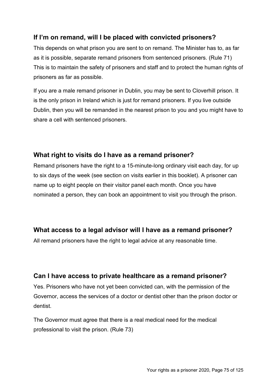#### **If I'm on remand, will I be placed with convicted prisoners?**

This depends on what prison you are sent to on remand. The Minister has to, as far as it is possible, separate remand prisoners from sentenced prisoners. (Rule 71) This is to maintain the safety of prisoners and staff and to protect the human rights of prisoners as far as possible.

If you are a male remand prisoner in Dublin, you may be sent to Cloverhill prison. It is the only prison in Ireland which is just for remand prisoners. If you live outside Dublin, then you will be remanded in the nearest prison to you and you might have to share a cell with sentenced prisoners.

#### **What right to visits do I have as a remand prisoner?**

Remand prisoners have the right to a 15-minute-long ordinary visit each day, for up to six days of the week (see section on visits earlier in this booklet). A prisoner can name up to eight people on their visitor panel each month. Once you have nominated a person, they can book an appointment to visit you through the prison.

#### **What access to a legal advisor will I have as a remand prisoner?**

All remand prisoners have the right to legal advice at any reasonable time.

## **Can I have access to private healthcare as a remand prisoner?**

Yes. Prisoners who have not yet been convicted can, with the permission of the Governor, access the services of a doctor or dentist other than the prison doctor or dentist.

The Governor must agree that there is a real medical need for the medical professional to visit the prison. (Rule 73)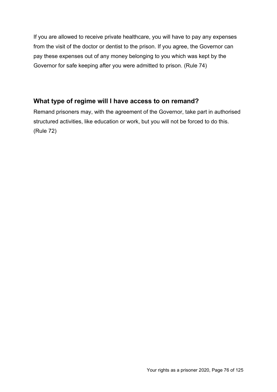If you are allowed to receive private healthcare, you will have to pay any expenses from the visit of the doctor or dentist to the prison. If you agree, the Governor can pay these expenses out of any money belonging to you which was kept by the Governor for safe keeping after you were admitted to prison. (Rule 74)

#### **What type of regime will I have access to on remand?**

Remand prisoners may, with the agreement of the Governor, take part in authorised structured activities, like education or work, but you will not be forced to do this. (Rule 72)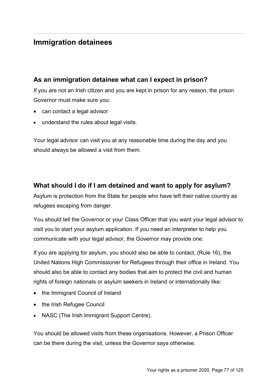## **Immigration detainees**

#### **As an immigration detainee what can I expect in prison?**

If you are not an Irish citizen and you are kept in prison for any reason, the prison Governor must make sure you:

- can contact a legal advisor
- understand the rules about legal visits.

Your legal advisor can visit you at any reasonable time during the day and you should always be allowed a visit from them.

## **What should I do if I am detained and want to apply for asylum?**

Asylum is protection from the State for people who have left their native country as refugees escaping from danger.

You should tell the Governor or your Class Officer that you want your legal advisor to visit you to start your asylum application. If you need an interpreter to help you communicate with your legal advisor, the Governor may provide one.

If you are applying for asylum, you should also be able to contact, (Rule 16), the United Nations High Commissioner for Refugees through their office in Ireland. You should also be able to contact any bodies that aim to protect the civil and human rights of foreign nationals or asylum seekers in Ireland or internationally like:

- the Immigrant Council of Ireland
- the Irish Refugee Council
- NASC (The Irish Immigrant Support Centre).

You should be allowed visits from these organisations. However, a Prison Officer can be there during the visit, unless the Governor says otherwise.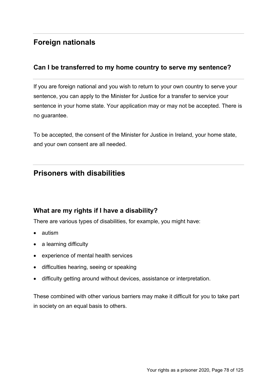# **Foreign nationals**

#### **Can I be transferred to my home country to serve my sentence?**

If you are foreign national and you wish to return to your own country to serve your sentence, you can apply to the Minister for Justice for a transfer to service your sentence in your home state. Your application may or may not be accepted. There is no guarantee.

To be accepted, the consent of the Minister for Justice in Ireland, your home state, and your own consent are all needed.

## **Prisoners with disabilities**

#### **What are my rights if I have a disability?**

There are various types of disabilities, for example, you might have:

- autism
- a learning difficulty
- experience of mental health services
- difficulties hearing, seeing or speaking
- difficulty getting around without devices, assistance or interpretation.

These combined with other various barriers may make it difficult for you to take part in society on an equal basis to others.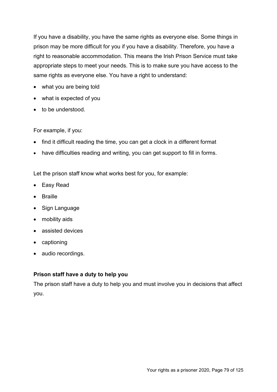If you have a disability, you have the same rights as everyone else. Some things in prison may be more difficult for you if you have a disability. Therefore, you have a right to reasonable accommodation. This means the Irish Prison Service must take appropriate steps to meet your needs. This is to make sure you have access to the same rights as everyone else. You have a right to understand:

- what you are being told
- what is expected of you
- to be understood.

For example, if you:

- find it difficult reading the time, you can get a clock in a different format
- have difficulties reading and writing, you can get support to fill in forms.

Let the prison staff know what works best for you, for example:

- Easy Read
- Braille
- Sign Language
- mobility aids
- assisted devices
- captioning
- audio recordings.

#### **Prison staff have a duty to help you**

The prison staff have a duty to help you and must involve you in decisions that affect you.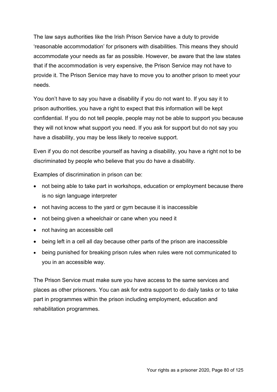The law says authorities like the Irish Prison Service have a duty to provide 'reasonable accommodation' for prisoners with disabilities. This means they should accommodate your needs as far as possible. However, be aware that the law states that if the accommodation is very expensive, the Prison Service may not have to provide it. The Prison Service may have to move you to another prison to meet your needs.

You don't have to say you have a disability if you do not want to. If you say it to prison authorities, you have a right to expect that this information will be kept confidential. If you do not tell people, people may not be able to support you because they will not know what support you need. If you ask for support but do not say you have a disability, you may be less likely to receive support.

Even if you do not describe yourself as having a disability, you have a right not to be discriminated by people who believe that you do have a disability.

Examples of discrimination in prison can be:

- not being able to take part in workshops, education or employment because there is no sign language interpreter
- not having access to the yard or gym because it is inaccessible
- not being given a wheelchair or cane when you need it
- not having an accessible cell
- being left in a cell all day because other parts of the prison are inaccessible
- being punished for breaking prison rules when rules were not communicated to you in an accessible way.

The Prison Service must make sure you have access to the same services and places as other prisoners. You can ask for extra support to do daily tasks or to take part in programmes within the prison including employment, education and rehabilitation programmes.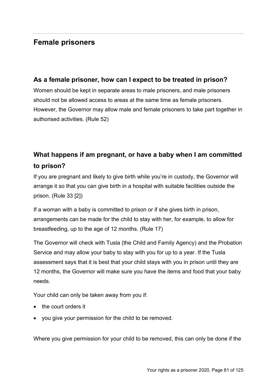## **Female prisoners**

#### **As a female prisoner, how can I expect to be treated in prison?**

Women should be kept in separate areas to male prisoners, and male prisoners should not be allowed access to areas at the same time as female prisoners. However, the Governor may allow male and female prisoners to take part together in authorised activities. (Rule 52)

# **What happens if am pregnant, or have a baby when I am committed to prison?**

If you are pregnant and likely to give birth while you're in custody, the Governor will arrange it so that you can give birth in a hospital with suitable facilities outside the prison. (Rule 33 [2])

If a woman with a baby is committed to prison or if she gives birth in prison, arrangements can be made for the child to stay with her, for example, to allow for breastfeeding, up to the age of 12 months. (Rule 17)

The Governor will check with Tusla (the Child and Family Agency) and the Probation Service and may allow your baby to stay with you for up to a year. If the Tusla assessment says that it is best that your child stays with you in prison until they are 12 months, the Governor will make sure you have the items and food that your baby needs.

Your child can only be taken away from you if:

- the court orders it
- you give your permission for the child to be removed.

Where you give permission for your child to be removed, this can only be done if the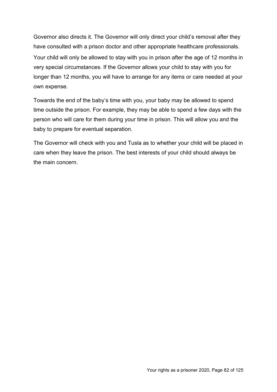Governor also directs it. The Governor will only direct your child's removal after they have consulted with a prison doctor and other appropriate healthcare professionals. Your child will only be allowed to stay with you in prison after the age of 12 months in very special circumstances. If the Governor allows your child to stay with you for longer than 12 months, you will have to arrange for any items or care needed at your own expense.

Towards the end of the baby's time with you, your baby may be allowed to spend time outside the prison. For example, they may be able to spend a few days with the person who will care for them during your time in prison. This will allow you and the baby to prepare for eventual separation.

The Governor will check with you and Tusla as to whether your child will be placed in care when they leave the prison. The best interests of your child should always be the main concern.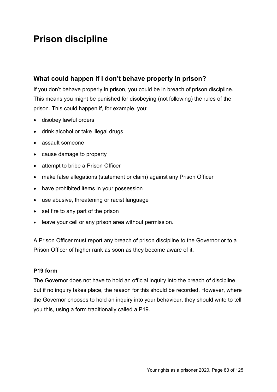# **Prison discipline**

### **What could happen if I don't behave properly in prison?**

If you don't behave properly in prison, you could be in breach of prison discipline. This means you might be punished for disobeying (not following) the rules of the prison. This could happen if, for example, you:

- disobey lawful orders
- drink alcohol or take illegal drugs
- assault someone
- cause damage to property
- attempt to bribe a Prison Officer
- make false allegations (statement or claim) against any Prison Officer
- have prohibited items in your possession
- use abusive, threatening or racist language
- set fire to any part of the prison
- leave your cell or any prison area without permission.

A Prison Officer must report any breach of prison discipline to the Governor or to a Prison Officer of higher rank as soon as they become aware of it.

#### **P19 form**

The Governor does not have to hold an official inquiry into the breach of discipline, but if no inquiry takes place, the reason for this should be recorded. However, where the Governor chooses to hold an inquiry into your behaviour, they should write to tell you this, using a form traditionally called a P19.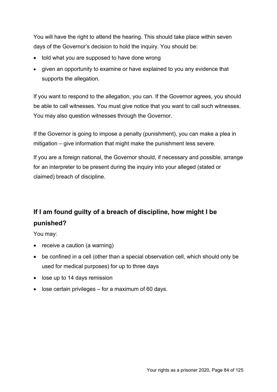You will have the right to attend the hearing. This should take place within seven days of the Governor's decision to hold the inquiry. You should be:

- told what you are supposed to have done wrong
- given an opportunity to examine or have explained to you any evidence that supports the allegation.

If you want to respond to the allegation, you can. If the Governor agrees, you should be able to call witnesses. You must give notice that you want to call such witnesses. You may also question witnesses through the Governor.

If the Governor is going to impose a penalty (punishment), you can make a plea in mitigation – give information that might make the punishment less severe.

If you are a foreign national, the Governor should, if necessary and possible, arrange for an interpreter to be present during the inquiry into your alleged (stated or claimed) breach of discipline.

# **If I am found guilty of a breach of discipline, how might I be punished?**

You may:

- receive a caution (a warning)
- be confined in a cell (other than a special observation cell, which should only be used for medical purposes) for up to three days
- lose up to 14 days remission
- lose certain privileges for a maximum of 60 days.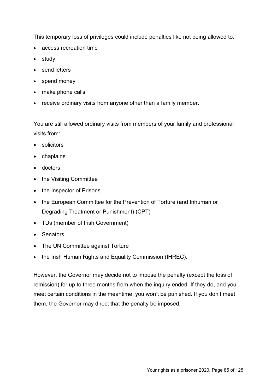This temporary loss of privileges could include penalties like not being allowed to:

- access recreation time
- study
- send letters
- spend money
- make phone calls
- receive ordinary visits from anyone other than a family member.

You are still allowed ordinary visits from members of your family and professional visits from:

- solicitors
- chaplains
- doctors
- the Visiting Committee
- the Inspector of Prisons
- the European Committee for the Prevention of Torture (and Inhuman or Degrading Treatment or Punishment) (CPT)
- TDs (member of Irish Government)
- Senators
- The UN Committee against Torture
- the Irish Human Rights and Equality Commission (IHREC).

However, the Governor may decide not to impose the penalty (except the loss of remission) for up to three months from when the inquiry ended. If they do, and you meet certain conditions in the meantime, you won't be punished. If you don't meet them, the Governor may direct that the penalty be imposed.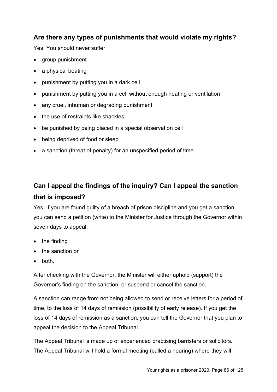#### **Are there any types of punishments that would violate my rights?**

Yes. You should never suffer:

- aroup punishment
- a physical beating
- punishment by putting you in a dark cell
- punishment by putting you in a cell without enough heating or ventilation
- any cruel, inhuman or degrading punishment
- the use of restraints like shackles
- be punished by being placed in a special observation cell
- being deprived of food or sleep
- a sanction (threat of penalty) for an unspecified period of time.

# **Can I appeal the findings of the inquiry? Can I appeal the sanction that is imposed?**

Yes. If you are found guilty of a breach of prison discipline and you get a sanction, you can send a petition (write) to the Minister for Justice through the Governor within seven days to appeal:

- the finding
- the sanction or
- both.

After checking with the Governor, the Minister will either uphold (support) the Governor's finding on the sanction, or suspend or cancel the sanction.

A sanction can range from not being allowed to send or receive letters for a period of time, to the loss of 14 days of remission (possibility of early release). If you get the loss of 14 days of remission as a sanction, you can tell the Governor that you plan to appeal the decision to the Appeal Tribunal.

The Appeal Tribunal is made up of experienced practising barristers or solicitors. The Appeal Tribunal will hold a formal meeting (called a hearing) where they will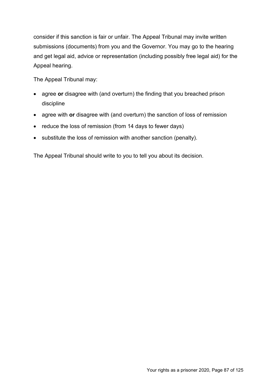consider if this sanction is fair or unfair. The Appeal Tribunal may invite written submissions (documents) from you and the Governor. You may go to the hearing and get legal aid, advice or representation (including possibly free legal aid) for the Appeal hearing.

The Appeal Tribunal may:

- agree **or** disagree with (and overturn) the finding that you breached prison discipline
- agree with **or** disagree with (and overturn) the sanction of loss of remission
- reduce the loss of remission (from 14 days to fewer days)
- substitute the loss of remission with another sanction (penalty).

The Appeal Tribunal should write to you to tell you about its decision.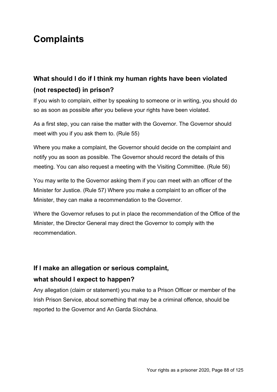# **Complaints**

# **What should I do if I think my human rights have been violated (not respected) in prison?**

If you wish to complain, either by speaking to someone or in writing, you should do so as soon as possible after you believe your rights have been violated.

As a first step, you can raise the matter with the Governor. The Governor should meet with you if you ask them to. (Rule 55)

Where you make a complaint, the Governor should decide on the complaint and notify you as soon as possible. The Governor should record the details of this meeting. You can also request a meeting with the Visiting Committee. (Rule 56)

You may write to the Governor asking them if you can meet with an officer of the Minister for Justice. (Rule 57) Where you make a complaint to an officer of the Minister, they can make a recommendation to the Governor.

Where the Governor refuses to put in place the recommendation of the Office of the Minister, the Director General may direct the Governor to comply with the recommendation.

# **If I make an allegation or serious complaint,**

#### **what should I expect to happen?**

Any allegation (claim or statement) you make to a Prison Officer or member of the Irish Prison Service, about something that may be a criminal offence, should be reported to the Governor and An Garda Síochána.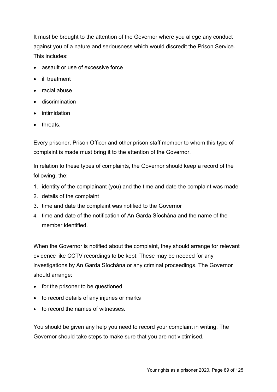It must be brought to the attention of the Governor where you allege any conduct against you of a nature and seriousness which would discredit the Prison Service. This includes:

- assault or use of excessive force
- ill treatment
- racial abuse
- discrimination
- intimidation
- threats.

Every prisoner, Prison Officer and other prison staff member to whom this type of complaint is made must bring it to the attention of the Governor.

In relation to these types of complaints, the Governor should keep a record of the following, the:

- 1. identity of the complainant (you) and the time and date the complaint was made
- 2. details of the complaint
- 3. time and date the complaint was notified to the Governor
- 4. time and date of the notification of An Garda Síochána and the name of the member identified.

When the Governor is notified about the complaint, they should arrange for relevant evidence like CCTV recordings to be kept. These may be needed for any investigations by An Garda Síochána or any criminal proceedings. The Governor should arrange:

- for the prisoner to be questioned
- to record details of any injuries or marks
- to record the names of witnesses

You should be given any help you need to record your complaint in writing. The Governor should take steps to make sure that you are not victimised.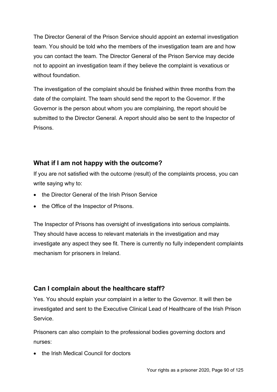The Director General of the Prison Service should appoint an external investigation team. You should be told who the members of the investigation team are and how you can contact the team. The Director General of the Prison Service may decide not to appoint an investigation team if they believe the complaint is vexatious or without foundation.

The investigation of the complaint should be finished within three months from the date of the complaint. The team should send the report to the Governor. If the Governor is the person about whom you are complaining, the report should be submitted to the Director General. A report should also be sent to the Inspector of Prisons.

## **What if I am not happy with the outcome?**

If you are not satisfied with the outcome (result) of the complaints process, you can write saying why to:

- the Director General of the Irish Prison Service
- the Office of the Inspector of Prisons.

The Inspector of Prisons has oversight of investigations into serious complaints. They should have access to relevant materials in the investigation and may investigate any aspect they see fit. There is currently no fully independent complaints mechanism for prisoners in Ireland.

## **Can I complain about the healthcare staff?**

Yes. You should explain your complaint in a letter to the Governor. It will then be investigated and sent to the Executive Clinical Lead of Healthcare of the Irish Prison Service.

Prisoners can also complain to the professional bodies governing doctors and nurses:

• the Irish Medical Council for doctors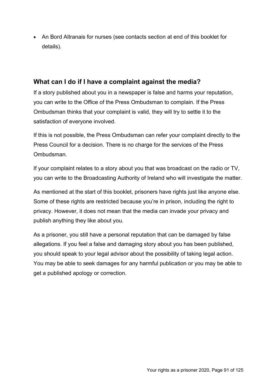• An Bord Altranais for nurses (see contacts section at end of this booklet for details).

#### **What can I do if I have a complaint against the media?**

If a story published about you in a newspaper is false and harms your reputation, you can write to the Office of the Press Ombudsman to complain. If the Press Ombudsman thinks that your complaint is valid, they will try to settle it to the satisfaction of everyone involved.

If this is not possible, the Press Ombudsman can refer your complaint directly to the Press Council for a decision. There is no charge for the services of the Press Ombudsman.

If your complaint relates to a story about you that was broadcast on the radio or TV, you can write to the Broadcasting Authority of Ireland who will investigate the matter.

As mentioned at the start of this booklet, prisoners have rights just like anyone else. Some of these rights are restricted because you're in prison, including the right to privacy. However, it does not mean that the media can invade your privacy and publish anything they like about you.

As a prisoner, you still have a personal reputation that can be damaged by false allegations. If you feel a false and damaging story about you has been published, you should speak to your legal advisor about the possibility of taking legal action. You may be able to seek damages for any harmful publication or you may be able to get a published apology or correction.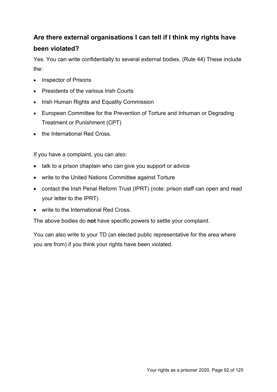## **Are there external organisations I can tell if I think my rights have**

## **been violated?**

Yes. You can write confidentially to several external bodies. (Rule 44) These include the:

- Inspector of Prisons
- Presidents of the various Irish Courts
- Irish Human Rights and Equality Commission
- European Committee for the Prevention of Torture and Inhuman or Degrading Treatment or Punishment (CPT)
- the International Red Cross.

If you have a complaint, you can also:

- talk to a prison chaplain who can give you support or advice
- write to the United Nations Committee against Torture
- contact the Irish Penal Reform Trust (IPRT) (note: prison staff can open and read your letter to the IPRT)
- write to the International Red Cross.

The above bodies do **not** have specific powers to settle your complaint.

You can also write to your TD (an elected public representative for the area where you are from) if you think your rights have been violated.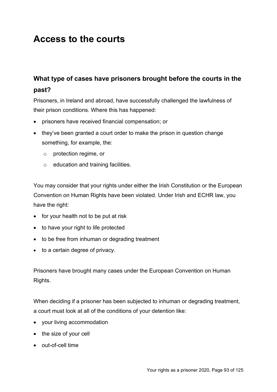# **Access to the courts**

# **What type of cases have prisoners brought before the courts in the past?**

Prisoners, in Ireland and abroad, have successfully challenged the lawfulness of their prison conditions. Where this has happened:

- prisoners have received financial compensation; or
- they've been granted a court order to make the prison in question change something, for example, the:
	- o protection regime, or
	- o education and training facilities.

You may consider that your rights under either the Irish Constitution or the European Convention on Human Rights have been violated. Under Irish and ECHR law, you have the right:

- for your health not to be put at risk
- to have your right to life protected
- to be free from inhuman or degrading treatment
- to a certain degree of privacy.

Prisoners have brought many cases under the European Convention on Human Rights.

When deciding if a prisoner has been subjected to inhuman or degrading treatment, a court must look at all of the conditions of your detention like:

- your living accommodation
- the size of your cell
- out-of-cell time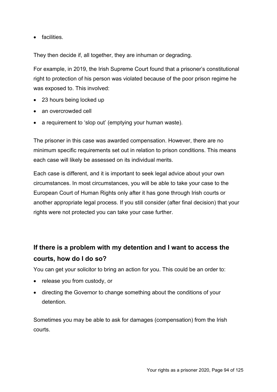• facilities.

They then decide if, all together, they are inhuman or degrading.

For example, in 2019, the Irish Supreme Court found that a prisoner's constitutional right to protection of his person was violated because of the poor prison regime he was exposed to. This involved:

- 23 hours being locked up
- an overcrowded cell
- a requirement to 'slop out' (emptying your human waste).

The prisoner in this case was awarded compensation. However, there are no minimum specific requirements set out in relation to prison conditions. This means each case will likely be assessed on its individual merits.

Each case is different, and it is important to seek legal advice about your own circumstances. In most circumstances, you will be able to take your case to the European Court of Human Rights only after it has gone through Irish courts or another appropriate legal process. If you still consider (after final decision) that your rights were not protected you can take your case further.

# **If there is a problem with my detention and I want to access the courts, how do I do so?**

You can get your solicitor to bring an action for you. This could be an order to:

- release you from custody, or
- directing the Governor to change something about the conditions of your detention.

Sometimes you may be able to ask for damages (compensation) from the Irish courts.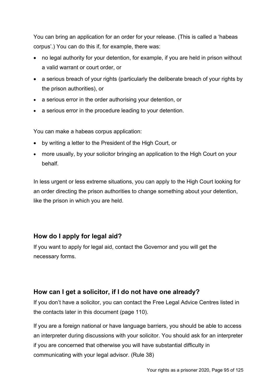You can bring an application for an order for your release. (This is called a 'habeas corpus'.) You can do this if, for example, there was:

- no legal authority for your detention, for example, if you are held in prison without a valid warrant or court order, or
- a serious breach of your rights (particularly the deliberate breach of your rights by the prison authorities), or
- a serious error in the order authorising your detention, or
- a serious error in the procedure leading to your detention.

You can make a habeas corpus application:

- by writing a letter to the President of the High Court, or
- more usually, by your solicitor bringing an application to the High Court on your behalf.

In less urgent or less extreme situations, you can apply to the High Court looking for an order directing the prison authorities to change something about your detention, like the prison in which you are held.

#### **How do I apply for legal aid?**

If you want to apply for legal aid, contact the Governor and you will get the necessary forms.

## **How can I get a solicitor, if I do not have one already?**

If you don't have a solicitor, you can contact the Free Legal Advice Centres listed in the contacts later in this document (page 110).

If you are a foreign national or have language barriers, you should be able to access an interpreter during discussions with your solicitor. You should ask for an interpreter if you are concerned that otherwise you will have substantial difficulty in communicating with your legal advisor. (Rule 38)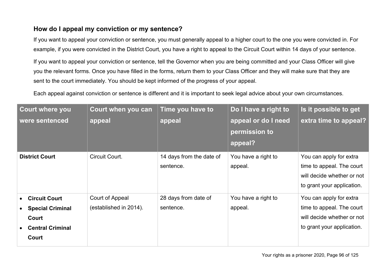## **How do I appeal my conviction or my sentence?**

If you want to appeal your conviction or sentence, you must generally appeal to a higher court to the one you were convicted in. For example, if you were convicted in the District Court, you have a right to appeal to the Circuit Court within 14 days of your sentence.

If you want to appeal your conviction or sentence, tell the Governor when you are being committed and your Class Officer will give you the relevant forms. Once you have filled in the forms, return them to your Class Officer and they will make sure that they are sent to the court immediately. You should be kept informed of the progress of your appeal.

Each appeal against conviction or sentence is different and it is important to seek legal advice about your own circumstances.

| <b>Court where you</b><br>were sentenced                                                     | Court when you can<br>appeal              | Time you have to<br>appeal            | Do I have a right to<br>appeal or do I need<br>permission to<br>appeal? | Is it possible to get<br>extra time to appeal?                                                                   |
|----------------------------------------------------------------------------------------------|-------------------------------------------|---------------------------------------|-------------------------------------------------------------------------|------------------------------------------------------------------------------------------------------------------|
| <b>District Court</b>                                                                        | Circuit Court.                            | 14 days from the date of<br>sentence. | You have a right to<br>appeal.                                          | You can apply for extra<br>time to appeal. The court<br>will decide whether or not<br>to grant your application. |
| <b>Circuit Court</b><br><b>Special Criminal</b><br>Court<br><b>Central Criminal</b><br>Court | Court of Appeal<br>(established in 2014). | 28 days from date of<br>sentence.     | You have a right to<br>appeal.                                          | You can apply for extra<br>time to appeal. The court<br>will decide whether or not<br>to grant your application. |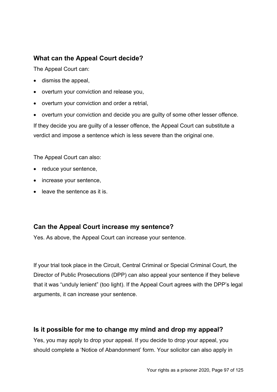## **What can the Appeal Court decide?**

The Appeal Court can:

- dismiss the appeal,
- overturn your conviction and release you,
- overturn your conviction and order a retrial,
- overturn your conviction and decide you are guilty of some other lesser offence.

If they decide you are guilty of a lesser offence, the Appeal Court can substitute a verdict and impose a sentence which is less severe than the original one.

The Appeal Court can also:

- reduce your sentence,
- increase your sentence,
- leave the sentence as it is.

#### **Can the Appeal Court increase my sentence?**

Yes. As above, the Appeal Court can increase your sentence.

If your trial took place in the Circuit, Central Criminal or Special Criminal Court, the Director of Public Prosecutions (DPP) can also appeal your sentence if they believe that it was "unduly lenient" (too light). If the Appeal Court agrees with the DPP's legal arguments, it can increase your sentence.

## **Is it possible for me to change my mind and drop my appeal?**

Yes, you may apply to drop your appeal. If you decide to drop your appeal, you should complete a 'Notice of Abandonment' form. Your solicitor can also apply in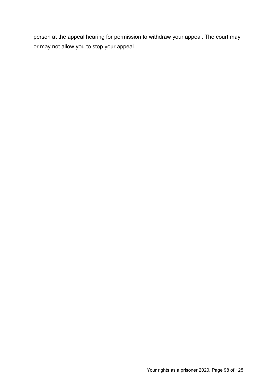person at the appeal hearing for permission to withdraw your appeal. The court may or may not allow you to stop your appeal.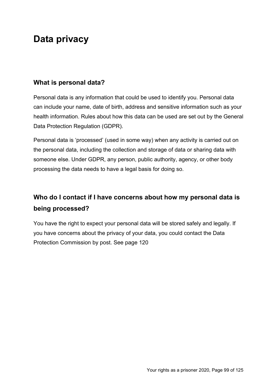# **Data privacy**

#### **What is personal data?**

Personal data is any information that could be used to identify you. Personal data can include your name, date of birth, address and sensitive information such as your health information. Rules about how this data can be used are set out by the General Data Protection Regulation (GDPR).

Personal data is 'processed' (used in some way) when any activity is carried out on the personal data, including the collection and storage of data or sharing data with someone else. Under GDPR, any person, public authority, agency, or other body processing the data needs to have a legal basis for doing so.

# **Who do I contact if I have concerns about how my personal data is being processed?**

You have the right to expect your personal data will be stored safely and legally. If you have concerns about the privacy of your data, you could contact the Data Protection Commission by post. See page 120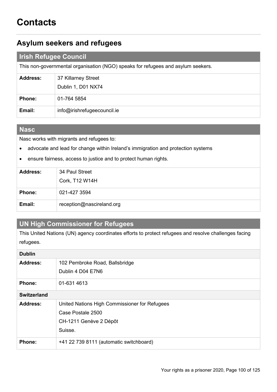## **Asylum seekers and refugees**

#### **Irish Refugee Council**

This non-governmental organisation (NGO) speaks for refugees and asylum seekers.

| <b>Address:</b> | 37 Killarney Street         |
|-----------------|-----------------------------|
|                 | Dublin 1, D01 NX74          |
| <b>Phone:</b>   | 01-764 5854                 |
| Email:          | info@irishrefugeecouncil.ie |

#### **Nasc**

Nasc works with migrants and refugees to:

- advocate and lead for change within Ireland's immigration and protection systems
- ensure fairness, access to justice and to protect human rights.

| <b>Address:</b> | 34 Paul Street            |
|-----------------|---------------------------|
|                 | Cork, T12 W14H            |
| <b>Phone:</b>   | 021-427 3594              |
| Email:          | reception@nascireland.org |

## **UN High Commissioner for Refugees**

This United Nations (UN) agency coordinates efforts to protect refugees and resolve challenges facing refugees.

| <b>Dublin</b>      |                                               |
|--------------------|-----------------------------------------------|
| <b>Address:</b>    | 102 Pembroke Road, Ballsbridge                |
|                    | Dublin 4 D04 E7N6                             |
| Phone:             | 01-631 4613                                   |
| <b>Switzerland</b> |                                               |
| Address:           | United Nations High Commissioner for Refugees |
|                    | Case Postale 2500                             |
|                    | CH-1211 Genève 2 Dépôt                        |
|                    | Suisse.                                       |
| Phone:             | +41 22 739 8111 (automatic switchboard)       |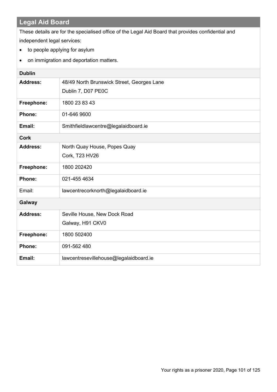# **Legal Aid Board**

These details are for the specialised office of the Legal Aid Board that provides confidential and independent legal services:

- to people applying for asylum
- on immigration and deportation matters.

| <b>Dublin</b>   |                                            |  |
|-----------------|--------------------------------------------|--|
| <b>Address:</b> | 48/49 North Brunswick Street, Georges Lane |  |
|                 | Dublin 7, D07 PE0C                         |  |
| Freephone:      | 1800 23 83 43                              |  |
| Phone:          | 01-646 9600                                |  |
| Email:          | Smithfieldlawcentre@legalaidboard.ie       |  |
| <b>Cork</b>     |                                            |  |
| <b>Address:</b> | North Quay House, Popes Quay               |  |
|                 | Cork, T23 HV26                             |  |
| Freephone:      | 1800 2024 20                               |  |
| Phone:          | 021-455 4634                               |  |
| Email:          | lawcentrecorknorth@legalaidboard.ie        |  |
| Galway          |                                            |  |
| <b>Address:</b> | Seville House, New Dock Road               |  |
|                 | Galway, H91 CKV0                           |  |
| Freephone:      | 1800 502400                                |  |
| Phone:          | 091-562 480                                |  |
| Email:          | lawcentresevillehouse@legalaidboard.ie     |  |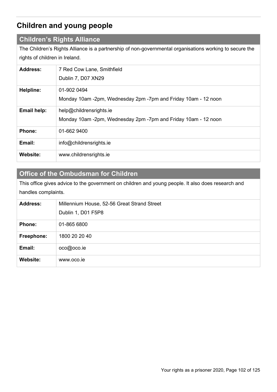# **Children and young people**

#### **Children's Rights Alliance**

The Children's Rights Alliance is a partnership of non-governmental organisations working to secure the rights of children in Ireland.

| <b>Address:</b> | 7 Red Cow Lane, Smithfield<br>Dublin 7, D07 XN29                                          |
|-----------------|-------------------------------------------------------------------------------------------|
| Helpline:       | 01-902 0494<br>Monday 10am -2pm, Wednesday 2pm -7pm and Friday 10am - 12 noon             |
| Email help:     | help@childrensrights.ie<br>Monday 10am -2pm, Wednesday 2pm -7pm and Friday 10am - 12 noon |
| <b>Phone:</b>   | 01-662 9400                                                                               |
| Email:          | info@childrensrights.ie                                                                   |
| Website:        | www.childrensrights.ie                                                                    |

## **Office of the Ombudsman for Children**

This office gives advice to the government on children and young people. It also does research and handles complaints.

| <b>Address:</b> | Millennium House, 52-56 Great Strand Street |
|-----------------|---------------------------------------------|
|                 | Dublin 1, D01 F5P8                          |
| <b>Phone:</b>   | 01-865 6800                                 |
| Freephone:      | 1800 20 20 40                               |
| Email:          | oco@oco.ie                                  |
| <b>Website:</b> | www.oco.ie                                  |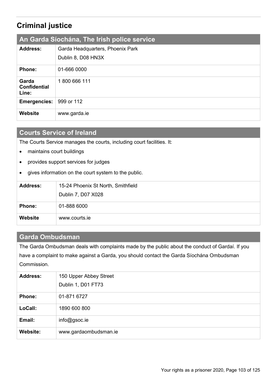# **Criminal justice**

| An Garda Siochána, The Irish police service |                                  |
|---------------------------------------------|----------------------------------|
| <b>Address:</b>                             | Garda Headquarters, Phoenix Park |
|                                             | Dublin 8, D08 HN3X               |
| <b>Phone:</b>                               | 01-666 0000                      |
| Garda<br><b>Confidential</b><br>Line:       | 1800 666 111                     |
| Emergencies:                                | 999 or 112                       |
| Website                                     | www.garda.ie                     |

## **Courts Service of Ireland**

The Courts Service manages the courts, including court facilities. It:

- maintains court buildings
- provides support services for judges
- gives information on the court system to the public.

| <b>Address:</b> | 15-24 Phoenix St North, Smithfield |
|-----------------|------------------------------------|
|                 | Dublin 7, D07 X028                 |
| <b>Phone:</b>   | 01-888 6000                        |
| <b>Website</b>  | www.courts.ie                      |

#### **Garda Ombudsman**

The Garda Ombudsman deals with complaints made by the public about the conduct of Gardaí. If you have a complaint to make against a Garda, you should contact the Garda Síochána Ombudsman Commission.

| <b>Address:</b> | 150 Upper Abbey Street |
|-----------------|------------------------|
|                 | Dublin 1, D01 FT73     |
| <b>Phone:</b>   | 01-871 6727            |
| LoCall:         | 1890 600 800           |
| Email:          | info@gsoc.ie           |
| <b>Website:</b> | www.gardaombudsman.ie  |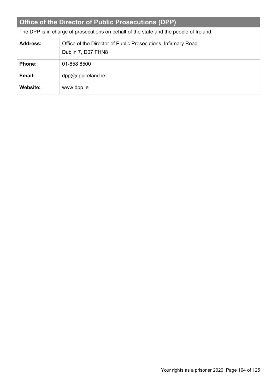| Office of the Director of Public Prosecutions (DPP)                                    |                                                                                     |  |
|----------------------------------------------------------------------------------------|-------------------------------------------------------------------------------------|--|
| The DPP is in charge of prosecutions on behalf of the state and the people of Ireland. |                                                                                     |  |
| <b>Address:</b>                                                                        | Office of the Director of Public Prosecutions, Infirmary Road<br>Dublin 7, D07 FHN8 |  |
| <b>Phone:</b>                                                                          | 01-858 8500                                                                         |  |
| Email:                                                                                 | dpp@dppireland.ie                                                                   |  |
| Website:                                                                               | www.dpp.ie                                                                          |  |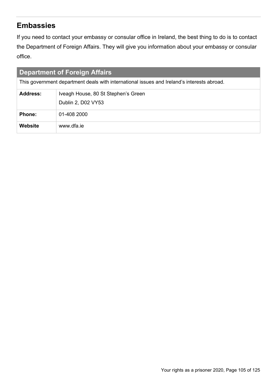# **Embassies**

If you need to contact your embassy or consular office in Ireland, the best thing to do is to contact the Department of Foreign Affairs. They will give you information about your embassy or consular office.

| <b>Department of Foreign Affairs</b>                                                       |                                                           |  |
|--------------------------------------------------------------------------------------------|-----------------------------------------------------------|--|
| This government department deals with international issues and Ireland's interests abroad. |                                                           |  |
| <b>Address:</b>                                                                            | Iveagh House, 80 St Stephen's Green<br>Dublin 2, D02 VY53 |  |
| <b>Phone:</b>                                                                              | 01-408 2000                                               |  |
| <b>Website</b>                                                                             | www.dfa.je                                                |  |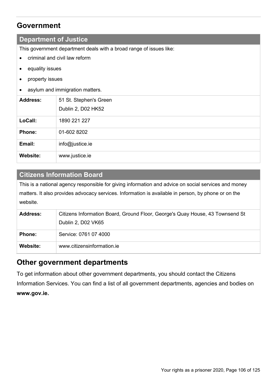## **Government**

#### **Department of Justice**

This government department deals with a broad range of issues like:

- criminal and civil law reform
- equality issues
- property issues
- asylum and immigration matters.

| <b>Address:</b> | 51 St. Stephen's Green<br>Dublin 2, D02 HK52 |
|-----------------|----------------------------------------------|
| LoCall:         | 1890 221 227                                 |
| <b>Phone:</b>   | 01-602 8202                                  |
| Email:          | info@justice.ie                              |
| Website:        | www.justice.ie                               |

#### **Citizens Information Board**

This is a national agency responsible for giving information and advice on social services and money matters. It also provides advocacy services. Information is available in person, by phone or on the website.

| <b>Address:</b> | Citizens Information Board, Ground Floor, George's Quay House, 43 Townsend St |
|-----------------|-------------------------------------------------------------------------------|
|                 | Dublin 2, D02 VK65                                                            |
| <b>Phone:</b>   | Service: 0761 07 4000                                                         |
| Website:        | www.citizensinformation.ie                                                    |

## **Other government departments**

To get information about other government departments, you should contact the Citizens Information Services. You can find a list of all government departments, agencies and bodies on **www.gov.ie.**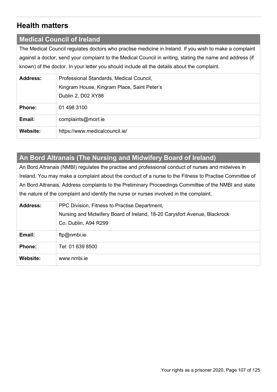# **Health matters**

#### **Medical Council of Ireland**

The Medical Council regulates doctors who practise medicine in Ireland. If you wish to make a complaint against a doctor, send your complaint to the Medical Council in writing, stating the name and address (if known) of the doctor. In your letter you should include all the details about the complaint.

| <b>Address:</b> | Professional Standards, Medical Council,    |
|-----------------|---------------------------------------------|
|                 | Kingram House, Kingram Place, Saint Peter's |
|                 | Dublin 2, D02 XY88                          |
| <b>Phone:</b>   | 01 498 3100                                 |
| Email:          | complaints@mcirl.ie                         |
| Website:        | https://www.medicalcouncil.ie/              |

# **An Bord Altranais (The Nursing and Midwifery Board of Ireland)**

An Bord Altranais (NMBI) regulates the practise and professional conduct of nurses and midwives in Ireland. You may make a complaint about the conduct of a nurse to the Fitness to Practise Committee of An Bord Altranais. Address complaints to the Preliminary Proceedings Committee of the NMBI and state the nature of the complaint and identify the nurse or nurses involved in the complaint.

| <b>Address:</b> | PPC Division, Fitness to Practise Department,                             |
|-----------------|---------------------------------------------------------------------------|
|                 | Nursing and Midwifery Board of Ireland, 18-20 Carysfort Avenue, Blackrock |
|                 | Co. Dublin, A94 R299                                                      |
| Email:          | ftp@nmbi.ie                                                               |
| <b>Phone:</b>   | Tel: 01 639 8500                                                          |
| <b>Website:</b> | www.nmbi.je                                                               |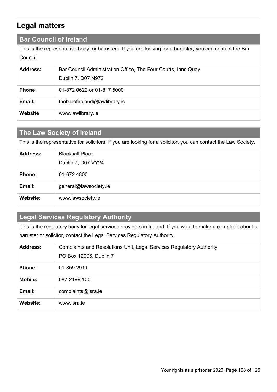# **Legal matters**

#### **Bar Council of Ireland**

This is the representative body for barristers. If you are looking for a barrister, you can contact the Bar Council.

| <b>Address:</b> | Bar Council Administration Office, The Four Courts, Inns Quay |
|-----------------|---------------------------------------------------------------|
|                 | Dublin 7, D07 N972                                            |
| <b>Phone:</b>   | 01-872 0622 or 01-817 5000                                    |
| Email:          | thebarofireland@lawlibrary.ie                                 |
| Website         | www.lawlibrary.ie                                             |

## **The Law Society of Ireland**

This is the representative for solicitors. If you are looking for a solicitor, you can contact the Law Society.

| <b>Address:</b> | <b>Blackhall Place</b> |
|-----------------|------------------------|
|                 | Dublin 7, D07 VY24     |
| <b>Phone:</b>   | 01-672 4800            |
| Email:          | general@lawsociety.ie  |
| Website:        | www.lawsociety.ie      |

### **Legal Services Regulatory Authority**

This is the regulatory body for legal services providers in Ireland. If you want to make a complaint about a barrister or solicitor, contact the Legal Services Regulatory Authority.

| <b>Address:</b> | Complaints and Resolutions Unit, Legal Services Regulatory Authority<br>PO Box 12906, Dublin 7 |
|-----------------|------------------------------------------------------------------------------------------------|
| <b>Phone:</b>   | 01-859 2911                                                                                    |
| <b>Mobile:</b>  | 087-2199 100                                                                                   |
| Email:          | complaints@lsra.ie                                                                             |
| <b>Website:</b> | www.lsra.je                                                                                    |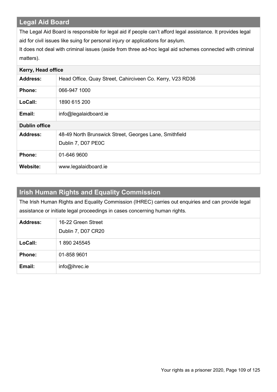## **Legal Aid Board**

The Legal Aid Board is responsible for legal aid if people can't afford legal assistance. It provides legal aid for civil issues like suing for personal injury or applications for asylum.

It does not deal with criminal issues (aside from three ad-hoc legal aid schemes connected with criminal matters).

| Kerry, Head office   |                                                                              |
|----------------------|------------------------------------------------------------------------------|
| <b>Address:</b>      | Head Office, Quay Street, Cahirciveen Co. Kerry, V23 RD36                    |
| <b>Phone:</b>        | 066-947 1000                                                                 |
| LoCall:              | 1890 615 200                                                                 |
| Email:               | info@legalaidboard.ie                                                        |
| <b>Dublin office</b> |                                                                              |
| <b>Address:</b>      | 48-49 North Brunswick Street, Georges Lane, Smithfield<br>Dublin 7, D07 PE0C |
| <b>Phone:</b>        | 01-646 9600                                                                  |
| Website:             | www.legalaidboard.ie                                                         |

| <b>Irish Human Rights and Equality Commission</b>                                                  |                    |
|----------------------------------------------------------------------------------------------------|--------------------|
| The Irish Human Rights and Equality Commission (IHREC) carries out enquiries and can provide legal |                    |
| assistance or initiate legal proceedings in cases concerning human rights.                         |                    |
| <b>Address:</b>                                                                                    | 16-22 Green Street |
|                                                                                                    | Dublin 7, D07 CR20 |
| LoCall:                                                                                            | 1890 245545        |
| Phone:                                                                                             | 01-858 9601        |
| Email:                                                                                             | $info@i$ hrec.ie   |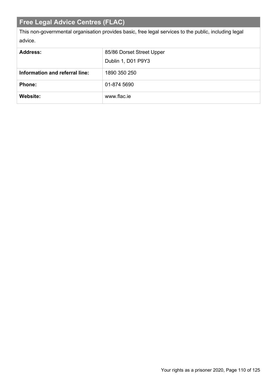# **Free Legal Advice Centres (FLAC)**

This non-governmental organisation provides basic, free legal services to the public, including legal advice.

| <b>Address:</b>                | 85/86 Dorset Street Upper |
|--------------------------------|---------------------------|
|                                | Dublin 1, D01 P9Y3        |
| Information and referral line: | 1890 350 250              |
| <b>Phone:</b>                  | 01-874 5690               |
| Website:                       | www.flac.je               |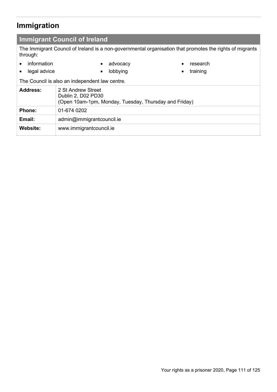# **Immigration**

## **Immigrant Council of Ireland**

The Immigrant Council of Ireland is a non-governmental organisation that promotes the rights of migrants through:

• information • legal advice

• advocacy • lobbying

- research
- training

The Council is also an independent law centre.

| <b>Address:</b> | 2 St Andrew Street<br>Dublin 2, D02 PD30<br>(Open 10am-1pm, Monday, Tuesday, Thursday and Friday) |
|-----------------|---------------------------------------------------------------------------------------------------|
| <b>Phone:</b>   | 01-674 0202                                                                                       |
| Email:          | admin@immigrantcouncil.ie                                                                         |
| Website:        | www.immigrantcouncil.ie                                                                           |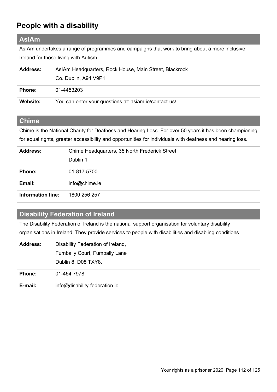# **People with a disability**

## **AsIAm**

AsIAm undertakes a range of programmes and campaigns that work to bring about a more inclusive Ireland for those living with Autism.

| <b>Address:</b> | AsIAm Headquarters, Rock House, Main Street, Blackrock<br>Co. Dublin, A94 V9P1. |
|-----------------|---------------------------------------------------------------------------------|
| <b>Phone:</b>   | 01-4453203                                                                      |
| <b>Website:</b> | You can enter your questions at: asiam.ie/contact-us/                           |

## **Chime**

Chime is the National Charity for Deafness and Hearing Loss. For over 50 years it has been championing for equal rights, greater accessibility and opportunities for individuals with deafness and hearing loss.

| <b>Address:</b>          | Chime Headquarters, 35 North Frederick Street<br>Dublin 1 |
|--------------------------|-----------------------------------------------------------|
| Phone:                   | 01-817 5700                                               |
| Email:                   | info@chime.ie                                             |
| <b>Information line:</b> | 1800 256 257                                              |

## **Disability Federation of Ireland**

The Disability Federation of Ireland is the national support organisation for voluntary disability organisations in Ireland. They provide services to people with disabilities and disabling conditions.

| <b>Address:</b> | Disability Federation of Ireland,    |
|-----------------|--------------------------------------|
|                 | <b>Fumbally Court, Fumbally Lane</b> |
|                 | Dublin 8, D08 TXY8.                  |
| <b>Phone:</b>   | 01-454 7978                          |
| E-mail:         | info@disability-federation.ie        |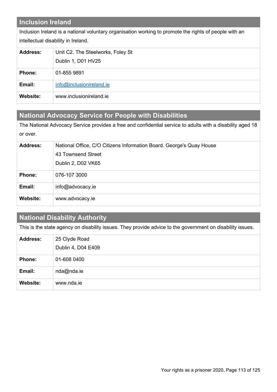## **Inclusion Ireland**

Inclusion Ireland is a national voluntary organisation working to promote the rights of people with an intellectual disability in Ireland.

| <b>Address:</b> | Unit C2, The Steelworks, Foley St |
|-----------------|-----------------------------------|
|                 | Dublin 1, D01 HV25                |
| <b>Phone:</b>   | 01-855 9891                       |
| Email:          | info@inclusionireland.ie          |
| <b>Website:</b> | www.inclusionireland.ie           |

## **National Advocacy Service for People with Disabilities**

The National Advocacy Service provides a free and confidential service to adults with a disability aged 18 or over.

| <b>Address:</b> | National Office, C/O Citizens Information Board. George's Quay House |
|-----------------|----------------------------------------------------------------------|
|                 | 43 Townsend Street                                                   |
|                 | Dublin 2, D02 VK65                                                   |
| <b>Phone:</b>   | 076-107 3000                                                         |
| Email:          | info@advocacy.ie                                                     |
| Website:        | www.advocacy.ie                                                      |

## **National Disability Authority**

This is the state agency on disability issues. They provide advice to the government on disability issues.

| <b>Address:</b> | 25 Clyde Road<br>Dublin 4, D04 E409 |
|-----------------|-------------------------------------|
| <b>Phone:</b>   | 01-608 0400                         |
| Email:          | nda@nda.ie                          |
| Website:        | www.nda.ie                          |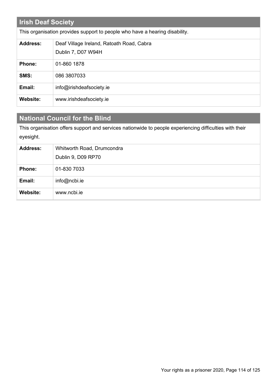| <b>Irish Deaf Society</b> |                                                                             |
|---------------------------|-----------------------------------------------------------------------------|
|                           | This organisation provides support to people who have a hearing disability. |
| <b>Address:</b>           | Deaf Village Ireland, Ratoath Road, Cabra<br>Dublin 7, D07 W94H             |
| <b>Phone:</b>             | 01-860 1878                                                                 |
| SMS:                      | 086 3807033                                                                 |
| Email:                    | info@irishdeafsociety.ie                                                    |
| Website:                  | www.irishdeafsociety.ie                                                     |

## **National Council for the Blind**

This organisation offers support and services nationwide to people experiencing difficulties with their eyesight.

| <b>Address:</b> | Whitworth Road, Drumcondra<br>Dublin 9, D09 RP70 |
|-----------------|--------------------------------------------------|
| <b>Phone:</b>   | 01-830 7033                                      |
| Email:          | info@ncbi.ie                                     |
| <b>Website:</b> | www.ncbi.ie                                      |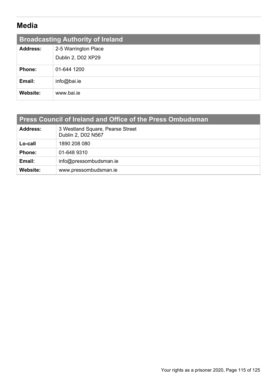# **Media**

| <b>Broadcasting Authority of Ireland</b> |                      |
|------------------------------------------|----------------------|
| <b>Address:</b>                          | 2-5 Warrington Place |
|                                          | Dublin 2, D02 XP29   |
| <b>Phone:</b>                            | 01-644 1200          |
| Email:                                   | info@bai.ie          |
| Website:                                 | www.bai.ie           |

| <b>Address:</b> | 3 Westland Square, Pearse Street<br>Dublin 2, D02 N567 |
|-----------------|--------------------------------------------------------|
| Lo-call         | 1890 208 080                                           |
| <b>Phone:</b>   | 01-648 9310                                            |
| Email:          | info@pressombudsman.ie                                 |
| Website:        | www.pressombudsman.ie                                  |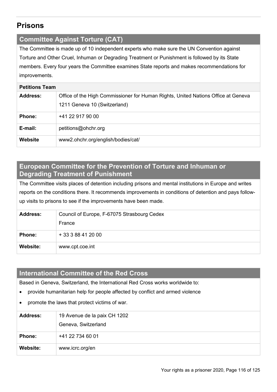## **Prisons**

### **Committee Against Torture (CAT)**

The Committee is made up of 10 independent experts who make sure the UN Convention against Torture and Other Cruel, Inhuman or Degrading Treatment or Punishment is followed by its State members. Every four years the Committee examines State reports and makes recommendations for improvements.

#### **Petitions Team**

| <b>Address:</b> | Office of the High Commissioner for Human Rights, United Nations Office at Geneva<br>1211 Geneva 10 (Switzerland) |
|-----------------|-------------------------------------------------------------------------------------------------------------------|
| <b>Phone:</b>   | +41 22 917 90 00                                                                                                  |
| E-mail:         | petitions@ohchr.org                                                                                               |
| Website         | www2.ohchr.org/english/bodies/cat/                                                                                |

## **European Committee for the Prevention of Torture and Inhuman or Degrading Treatment of Punishment**

The Committee visits places of detention including prisons and mental institutions in Europe and writes reports on the conditions there. It recommends improvements in conditions of detention and pays followup visits to prisons to see if the improvements have been made.

| <b>Address:</b> | Council of Europe, F-67075 Strasbourg Cedex<br>France |
|-----------------|-------------------------------------------------------|
| <b>Phone:</b>   | + 33 3 88 41 20 00                                    |
| Website:        | www.cpt.coe.int                                       |

### **International Committee of the Red Cross**

Based in Geneva, Switzerland, the International Red Cross works worldwide to:

- provide humanitarian help for people affected by conflict and armed violence
- promote the laws that protect victims of war.

| <b>Address:</b> | 19 Avenue de la paix CH 1202<br>Geneva, Switzerland |
|-----------------|-----------------------------------------------------|
| <b>Phone:</b>   | +41 22 734 60 01                                    |
| Website:        | www.icrc.org/en                                     |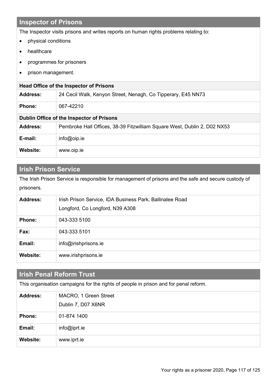## **Inspector of Prisons**

The Inspector visits prisons and writes reports on human rights problems relating to:

- physical conditions
- healthcare
- programmes for prisoners
- prison management.

| <b>Head Office of the Inspector of Prisons</b> |                                                                          |
|------------------------------------------------|--------------------------------------------------------------------------|
| <b>Address:</b>                                | 24 Cecil Walk, Kenyon Street, Nenagh, Co Tipperary, E45 NN73             |
| <b>Phone:</b>                                  | 067-42210                                                                |
| Dublin Office of the Inspector of Prisons      |                                                                          |
| <b>Address:</b>                                | Pembroke Hall Offices, 38-39 Fitzwilliam Square West, Dublin 2, D02 NX53 |
| E-mail:                                        | $info@oip_ie$                                                            |
| Website:                                       | www.oip.ie                                                               |

## **Irish Prison Service**

The Irish Prison Service is responsible for management of prisons and the safe and secure custody of prisoners.

| <b>Address:</b> | Irish Prison Service, IDA Business Park, Ballinalee Road |
|-----------------|----------------------------------------------------------|
|                 | Longford, Co Longford, N39 A308                          |
| <b>Phone:</b>   | 043-333 5100                                             |
| Fax:            | 043-333 5101                                             |
| Email:          | info@irishprisons.ie                                     |
| Website:        | www.irishprisons.ie                                      |

| <b>Irish Penal Reform Trust</b>                                                      |                                             |
|--------------------------------------------------------------------------------------|---------------------------------------------|
| This organisation campaigns for the rights of people in prison and for penal reform. |                                             |
| <b>Address:</b>                                                                      | MACRO, 1 Green Street<br>Dublin 7, D07 X6NR |
| Phone:                                                                               | 01-874 1400                                 |
| Email:                                                                               | $info@iprt_ie$                              |
| Website:                                                                             | www.iprt.ie                                 |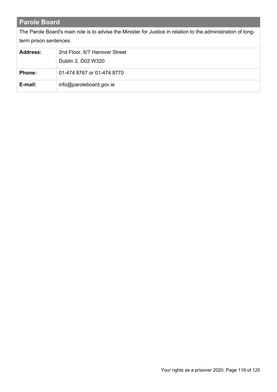## **Parole Board**

The Parole Board's main role is to advise the Minister for Justice in relation to the administration of longterm prison sentences.

| <b>Address:</b> | 2nd Floor, 6/7 Hanover Street |
|-----------------|-------------------------------|
|                 | Dublin 2, D02 W320            |
| <b>Phone:</b>   | 01-474 8767 or 01-474 8770    |
| E-mail:         | info@paroleboard.gov.ie       |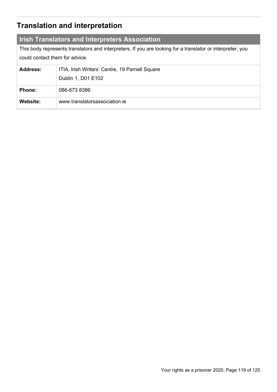# **Translation and interpretation**

## **Irish Translators and Interpreters Association**

This body represents translators and interpreters. If you are looking for a translator or interpreter, you could contact them for advice.

| <b>Address:</b> | ITIA, Irish Writers' Centre, 19 Parnell Square<br>Dublin 1, D01 E102 |
|-----------------|----------------------------------------------------------------------|
| <b>Phone:</b>   | 086-673 8386                                                         |
| Website:        | www.translatorsassociation.je                                        |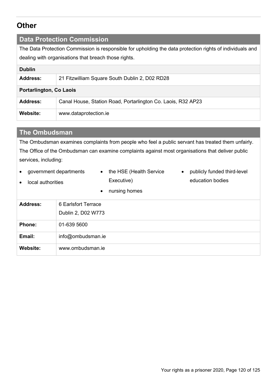## **Other**

### **Data Protection Commission**

The Data Protection Commission is responsible for upholding the data protection rights of individuals and dealing with organisations that breach those rights.

| <b>Dublin</b>                  |                                                              |
|--------------------------------|--------------------------------------------------------------|
| <b>Address:</b>                | 21 Fitzwilliam Square South Dublin 2, D02 RD28               |
| <b>Portarlington, Co Laois</b> |                                                              |
| <b>Address:</b>                | Canal House, Station Road, Portarlington Co. Laois, R32 AP23 |
| <b>Website:</b>                | www.dataprotection.ie                                        |

### **The Ombudsman**

The Ombudsman examines complaints from people who feel a public servant has treated them unfairly. The Office of the Ombudsman can examine complaints against most organisations that deliver public services, including:

• government departments

• local authorities

- the HSE (Health Service Executive)
- publicly funded third-level education bodies
- nursing homes **Address:** 6 Earlsfort Terrace Dublin 2, D02 W773 **Phone:** 01-639 5600 **Email:** [info@ombudsman.ie](mailto:info@ombudsman.ie) **Website:** www.ombudsman.ie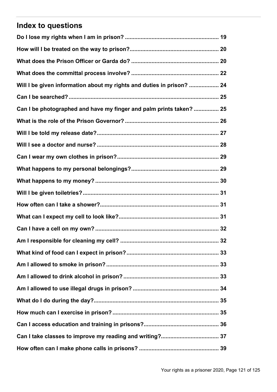# **Index to questions**

| Will I be given information about my rights and duties in prison?  24 |
|-----------------------------------------------------------------------|
|                                                                       |
| Can I be photographed and have my finger and palm prints taken?  25   |
|                                                                       |
|                                                                       |
|                                                                       |
|                                                                       |
|                                                                       |
|                                                                       |
|                                                                       |
|                                                                       |
|                                                                       |
|                                                                       |
| 32                                                                    |
|                                                                       |
|                                                                       |
|                                                                       |
|                                                                       |
|                                                                       |
|                                                                       |
|                                                                       |
|                                                                       |
|                                                                       |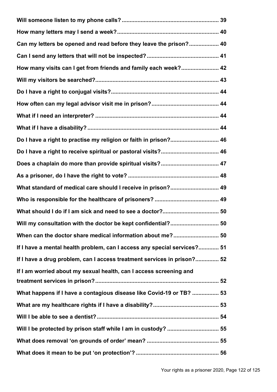| Can my letters be opened and read before they leave the prison? 40       |
|--------------------------------------------------------------------------|
|                                                                          |
| How many visits can I get from friends and family each week? 42          |
|                                                                          |
|                                                                          |
|                                                                          |
|                                                                          |
|                                                                          |
| Do I have a right to practise my religion or faith in prison? 46         |
|                                                                          |
|                                                                          |
|                                                                          |
| What standard of medical care should I receive in prison? 49             |
|                                                                          |
|                                                                          |
|                                                                          |
|                                                                          |
| If I have a mental health problem, can I access any special services? 51 |
| If I have a drug problem, can I access treatment services in prison? 52  |
| If I am worried about my sexual health, can I access screening and       |
| What happens if I have a contagious disease like Covid-19 or TB?  53     |
|                                                                          |
|                                                                          |
| Will I be protected by prison staff while I am in custody?  55           |
|                                                                          |
|                                                                          |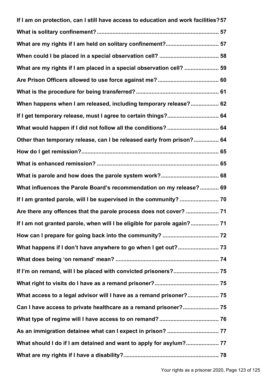| If I am on protection, can I still have access to education and work facilities? 57 |
|-------------------------------------------------------------------------------------|
|                                                                                     |
| What are my rights if I am held on solitary confinement? 57                         |
|                                                                                     |
| What are my rights if I am placed in a special observation cell?  59                |
|                                                                                     |
|                                                                                     |
| When happens when I am released, including temporary release? 62                    |
| If I get temporary release, must I agree to certain things? 64                      |
| What would happen if I did not follow all the conditions?  64                       |
| Other than temporary release, can I be released early from prison? 64               |
|                                                                                     |
|                                                                                     |
|                                                                                     |
| What influences the Parole Board's recommendation on my release? 69                 |
|                                                                                     |
|                                                                                     |
| If I am not granted parole, when will I be eligible for parole again? 71            |
|                                                                                     |
|                                                                                     |
|                                                                                     |
|                                                                                     |
|                                                                                     |
| What access to a legal advisor will I have as a remand prisoner? 75                 |
| Can I have access to private healthcare as a remand prisoner? 75                    |
|                                                                                     |
|                                                                                     |
| What should I do if I am detained and want to apply for asylum? 77                  |
|                                                                                     |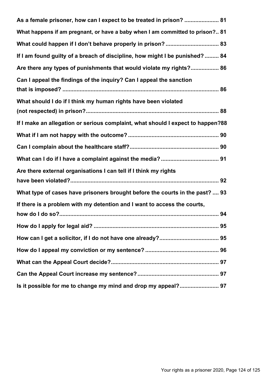| As a female prisoner, how can I expect to be treated in prison?  81             |  |
|---------------------------------------------------------------------------------|--|
| What happens if am pregnant, or have a baby when I am committed to prison? 81   |  |
|                                                                                 |  |
| If I am found guilty of a breach of discipline, how might I be punished?  84    |  |
| Are there any types of punishments that would violate my rights? 86             |  |
| Can I appeal the findings of the inquiry? Can I appeal the sanction             |  |
| What should I do if I think my human rights have been violated                  |  |
| If I make an allegation or serious complaint, what should I expect to happen?88 |  |
|                                                                                 |  |
|                                                                                 |  |
|                                                                                 |  |
| Are there external organisations I can tell if I think my rights                |  |
|                                                                                 |  |
| What type of cases have prisoners brought before the courts in the past?  93    |  |
| If there is a problem with my detention and I want to access the courts,        |  |
|                                                                                 |  |
|                                                                                 |  |
|                                                                                 |  |
|                                                                                 |  |
|                                                                                 |  |
|                                                                                 |  |
| Is it possible for me to change my mind and drop my appeal? 97                  |  |